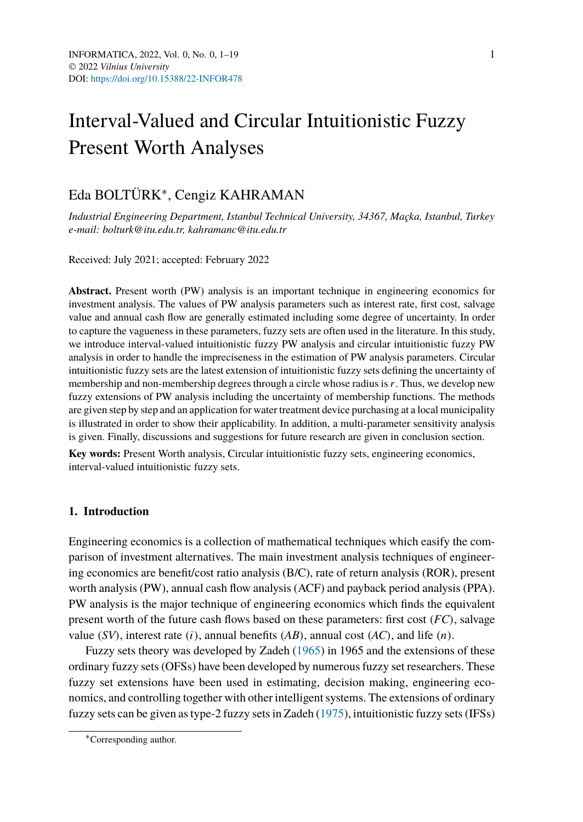# Interval-Valued and Circular Intuitionistic Fuzzy Present Worth Analyses

## Eda BOLTÜRK∗, Cengiz KAHRAMAN

*Industrial Engineering Department, Istanbul Technical University, 34367, Maçka, Istanbul, Turkey e-mail: bolturk@itu.edu.tr, kahramanc@itu.edu.tr*

Received: July 2021; accepted: February 2022

**Abstract.** Present worth (PW) analysis is an important technique in engineering economics for investment analysis. The values of PW analysis parameters such as interest rate, first cost, salvage value and annual cash flow are generally estimated including some degree of uncertainty. In order to capture the vagueness in these parameters, fuzzy sets are often used in the literature. In this study, we introduce interval-valued intuitionistic fuzzy PW analysis and circular intuitionistic fuzzy PW analysis in order to handle the impreciseness in the estimation of PW analysis parameters. Circular intuitionistic fuzzy sets are the latest extension of intuitionistic fuzzy sets defining the uncertainty of membership and non-membership degrees through a circle whose radius is *r*. Thus, we develop new fuzzy extensions of PW analysis including the uncertainty of membership functions. The methods are given step by step and an application for water treatment device purchasing at a local municipality is illustrated in order to show their applicability. In addition, a multi-parameter sensitivity analysis is given. Finally, discussions and suggestions for future research are given in conclusion section.

**Key words:** Present Worth analysis, Circular intuitionistic fuzzy sets, engineering economics, interval-valued intuitionistic fuzzy sets.

## **1. Introduction**

Engineering economics is a collection of mathematical techniques which easify the comparison of investment alternatives. The main investment analysis techniques of engineering economics are benefit/cost ratio analysis (B/C), rate of return analysis (ROR), present worth analysis (PW), annual cash flow analysis (ACF) and payback period analysis (PPA). PW analysis is the major technique of engineering economics which finds the equivalent present worth of the future cash flows based on these parameters: first cost *(FC)*, salvage value *(SV)*, interest rate *(i)*, annual benefits *(AB)*, annual cost *(AC)*, and life *(n)*.

Fuzzy sets theory was developed by Zadeh [\(1965](#page-18-0)) in 1965 and the extensions of these ordinary fuzzy sets (OFSs) have been developed by numerous fuzzy set researchers. These fuzzy set extensions have been used in estimating, decision making, engineering economics, and controlling together with other intelligent systems. The extensions of ordinary fuzzy sets can be given as type-2 fuzzy sets in Zadeh [\(1975\)](#page-18-1), intuitionistic fuzzy sets (IFSs)

<sup>∗</sup>Corresponding author.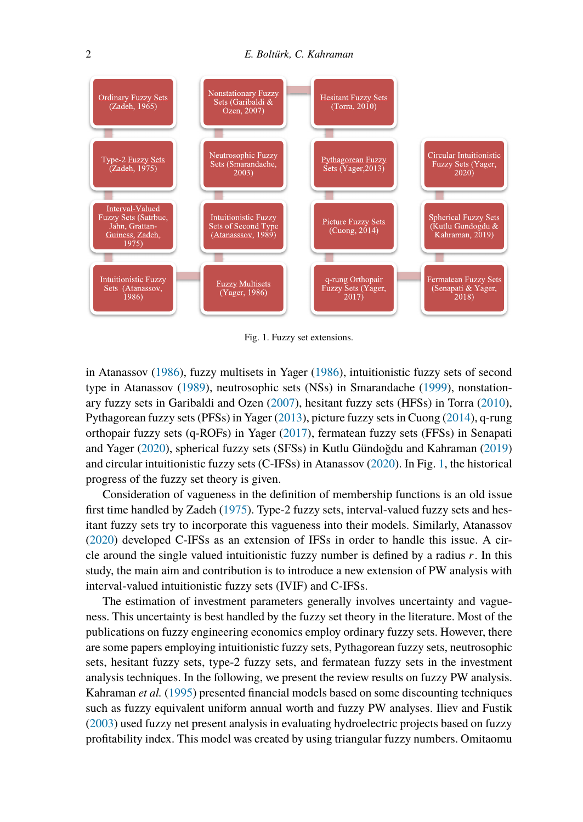<span id="page-1-0"></span>

Fig. 1. Fuzzy set extensions.

in Atanassov [\(1986](#page-17-0)), fuzzy multisets in Yager [\(1986](#page-18-2)), intuitionistic fuzzy sets of second type in Atanassov [\(1989\)](#page-17-1), neutrosophic sets (NSs) in Smarandache ([1999\)](#page-18-3), nonstationary fuzzy sets in Garibaldi and Ozen ([2007\)](#page-17-2), hesitant fuzzy sets (HFSs) in Torra ([2010\)](#page-18-4), Pythagorean fuzzy sets (PFSs) in Yager [\(2013](#page-18-5)), picture fuzzy sets in Cuong [\(2014](#page-17-3)), q-rung orthopair fuzzy sets (q-ROFs) in Yager [\(2017](#page-18-6)), fermatean fuzzy sets (FFSs) in Senapati and Yager ([2020\)](#page-17-4), spherical fuzzy sets (SFSs) in Kutlu Gündoğdu and Kahraman [\(2019](#page-17-5)) and circular intuitionistic fuzzy sets (C-IFSs) in Atanassov ([2020\)](#page-17-6). In Fig. [1,](#page-1-0) the historical progress of the fuzzy set theory is given.

Consideration of vagueness in the definition of membership functions is an old issue first time handled by Zadeh [\(1975](#page-18-1)). Type-2 fuzzy sets, interval-valued fuzzy sets and hesitant fuzzy sets try to incorporate this vagueness into their models. Similarly, Atanassov [\(2020](#page-17-6)) developed C-IFSs as an extension of IFSs in order to handle this issue. A circle around the single valued intuitionistic fuzzy number is defined by a radius *r*. In this study, the main aim and contribution is to introduce a new extension of PW analysis with interval-valued intuitionistic fuzzy sets (IVIF) and C-IFSs.

The estimation of investment parameters generally involves uncertainty and vagueness. This uncertainty is best handled by the fuzzy set theory in the literature. Most of the publications on fuzzy engineering economics employ ordinary fuzzy sets. However, there are some papers employing intuitionistic fuzzy sets, Pythagorean fuzzy sets, neutrosophic sets, hesitant fuzzy sets, type-2 fuzzy sets, and fermatean fuzzy sets in the investment analysis techniques. In the following, we present the review results on fuzzy PW analysis. Kahraman *et al.* [\(1995](#page-17-7)) presented financial models based on some discounting techniques such as fuzzy equivalent uniform annual worth and fuzzy PW analyses. Iliev and Fustik [\(2003](#page-17-8)) used fuzzy net present analysis in evaluating hydroelectric projects based on fuzzy profitability index. This model was created by using triangular fuzzy numbers. Omitaomu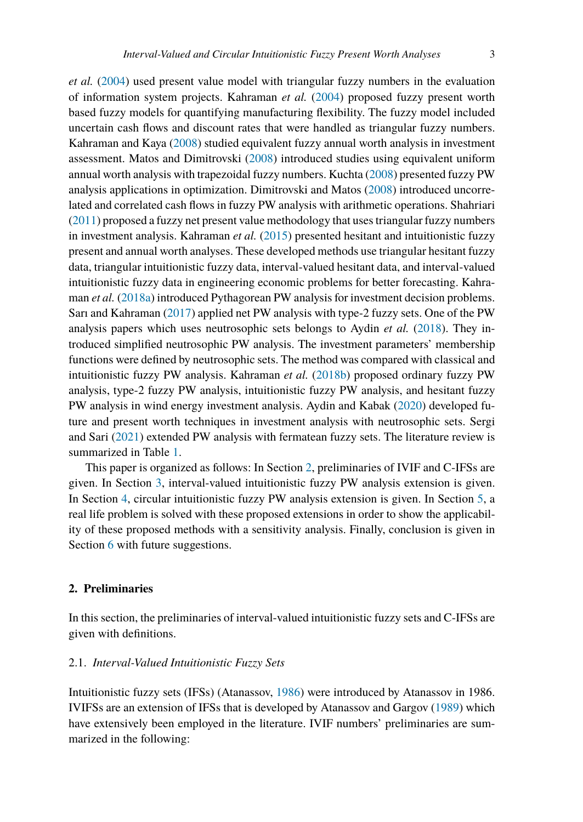*et al.* ([2004\)](#page-17-9) used present value model with triangular fuzzy numbers in the evaluation of information system projects. Kahraman *et al.* ([2004\)](#page-17-10) proposed fuzzy present worth based fuzzy models for quantifying manufacturing flexibility. The fuzzy model included uncertain cash flows and discount rates that were handled as triangular fuzzy numbers. Kahraman and Kaya [\(2008](#page-17-11)) studied equivalent fuzzy annual worth analysis in investment assessment. Matos and Dimitrovski [\(2008\)](#page-17-12) introduced studies using equivalent uniform annual worth analysis with trapezoidal fuzzy numbers. Kuchta [\(2008](#page-17-13)) presented fuzzy PW analysis applications in optimization. Dimitrovski and Matos ([2008\)](#page-17-14) introduced uncorrelated and correlated cash flows in fuzzy PW analysis with arithmetic operations. Shahriari [\(2011\)](#page-17-15) proposed a fuzzy net present value methodology that uses triangular fuzzy numbers in investment analysis. Kahraman *et al.* [\(2015](#page-17-16)) presented hesitant and intuitionistic fuzzy present and annual worth analyses. These developed methods use triangular hesitant fuzzy data, triangular intuitionistic fuzzy data, interval-valued hesitant data, and interval-valued intuitionistic fuzzy data in engineering economic problems for better forecasting. Kahraman *et al.* [\(2018a\)](#page-17-17) introduced Pythagorean PW analysis for investment decision problems. Sarı and Kahraman [\(2017](#page-17-18)) applied net PW analysis with type-2 fuzzy sets. One of the PW analysis papers which uses neutrosophic sets belongs to Aydin *et al.* [\(2018](#page-17-19)). They introduced simplified neutrosophic PW analysis. The investment parameters' membership functions were defined by neutrosophic sets. The method was compared with classical and intuitionistic fuzzy PW analysis. Kahraman *et al.* [\(2018b](#page-17-20)) proposed ordinary fuzzy PW analysis, type-2 fuzzy PW analysis, intuitionistic fuzzy PW analysis, and hesitant fuzzy PW analysis in wind energy investment analysis. Aydin and Kabak ([2020\)](#page-17-21) developed future and present worth techniques in investment analysis with neutrosophic sets. Sergi and Sari [\(2021\)](#page-17-22) extended PW analysis with fermatean fuzzy sets. The literature review is summarized in Table [1.](#page-3-0)

This paper is organized as follows: In Section [2,](#page-2-0) preliminaries of IVIF and C-IFSs are given. In Section [3,](#page-7-0) interval-valued intuitionistic fuzzy PW analysis extension is given. In Section [4](#page-8-0), circular intuitionistic fuzzy PW analysis extension is given. In Section [5,](#page-9-0) a real life problem is solved with these proposed extensions in order to show the applicability of these proposed methods with a sensitivity analysis. Finally, conclusion is given in Section [6](#page-15-0) with future suggestions.

## <span id="page-2-0"></span>**2. Preliminaries**

In this section, the preliminaries of interval-valued intuitionistic fuzzy sets and C-IFSs are given with definitions.

## 2.1. *Interval-Valued Intuitionistic Fuzzy Sets*

Intuitionistic fuzzy sets (IFSs) (Atanassov, [1986](#page-17-0)) were introduced by Atanassov in 1986. IVIFSs are an extension of IFSs that is developed by Atanassov and Gargov ([1989\)](#page-17-23) which have extensively been employed in the literature. IVIF numbers' preliminaries are summarized in the following: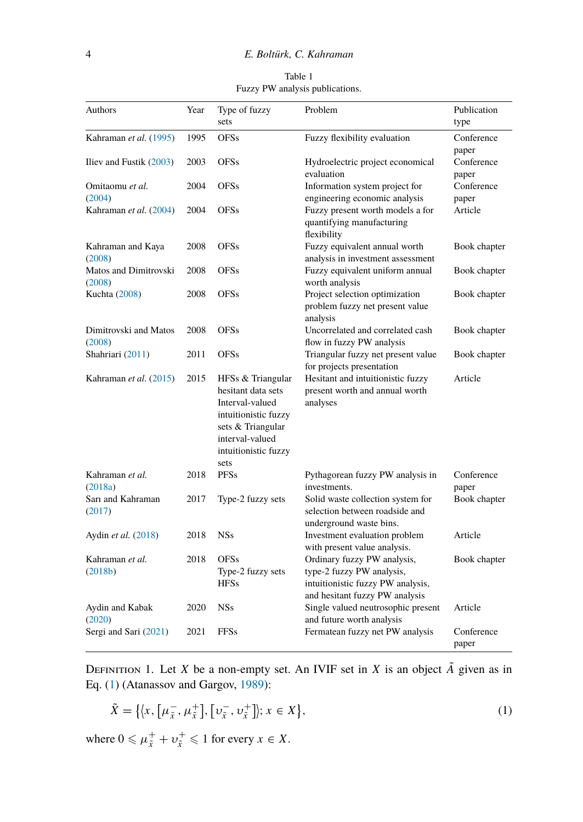Table 1 Fuzzy PW analysis publications.

<span id="page-3-0"></span>

| Authors                   | Year | Type of fuzzy                             | Problem                                                         | Publication      |
|---------------------------|------|-------------------------------------------|-----------------------------------------------------------------|------------------|
|                           |      | sets                                      |                                                                 | type             |
| Kahraman et al. (1995)    | 1995 | <b>OFSs</b>                               | Fuzzy flexibility evaluation                                    | Conference       |
|                           |      |                                           |                                                                 | paper            |
| Iliev and Fustik $(2003)$ | 2003 | <b>OFSs</b>                               | Hydroelectric project economical                                | Conference       |
|                           |      |                                           | evaluation                                                      | paper            |
| Omitaomu et al.<br>(2004) | 2004 | <b>OFSs</b>                               | Information system project for<br>engineering economic analysis | Conference       |
| Kahraman et al. (2004)    | 2004 | <b>OFSs</b>                               | Fuzzy present worth models a for                                | paper<br>Article |
|                           |      |                                           | quantifying manufacturing<br>flexibility                        |                  |
| Kahraman and Kaya         | 2008 | <b>OFSs</b>                               | Fuzzy equivalent annual worth                                   | Book chapter     |
| (2008)                    |      |                                           | analysis in investment assessment                               |                  |
| Matos and Dimitrovski     | 2008 | <b>OFSs</b>                               | Fuzzy equivalent uniform annual                                 | Book chapter     |
| (2008)                    |      |                                           | worth analysis                                                  |                  |
| <b>Kuchta</b> (2008)      | 2008 | <b>OFSs</b>                               | Project selection optimization                                  | Book chapter     |
|                           |      |                                           | problem fuzzy net present value                                 |                  |
|                           |      |                                           | analysis                                                        |                  |
| Dimitrovski and Matos     | 2008 | <b>OFSs</b>                               | Uncorrelated and correlated cash                                | Book chapter     |
| (2008)                    |      |                                           | flow in fuzzy PW analysis                                       |                  |
| Shahriari (2011)          | 2011 | <b>OFSs</b>                               | Triangular fuzzy net present value                              | Book chapter     |
|                           |      |                                           | for projects presentation                                       |                  |
| Kahraman et al. (2015)    | 2015 | HFSs & Triangular                         | Hesitant and intuitionistic fuzzy                               | Article          |
|                           |      | hesitant data sets                        | present worth and annual worth                                  |                  |
|                           |      | Interval-valued                           | analyses                                                        |                  |
|                           |      | intuitionistic fuzzy<br>sets & Triangular |                                                                 |                  |
|                           |      | interval-valued                           |                                                                 |                  |
|                           |      | intuitionistic fuzzy                      |                                                                 |                  |
|                           |      | sets                                      |                                                                 |                  |
| Kahraman et al.           | 2018 | <b>PFSs</b>                               | Pythagorean fuzzy PW analysis in                                | Conference       |
| (2018a)                   |      |                                           | investments.                                                    | paper            |
| Sarı and Kahraman         | 2017 | Type-2 fuzzy sets                         | Solid waste collection system for                               | Book chapter     |
| (2017)                    |      |                                           | selection between roadside and                                  |                  |
|                           |      |                                           | underground waste bins.                                         |                  |
| Aydin et al. (2018)       | 2018 | <b>NSs</b>                                | Investment evaluation problem                                   | Article          |
|                           |      |                                           | with present value analysis.                                    |                  |
| Kahraman et al.           | 2018 | <b>OFSs</b>                               | Ordinary fuzzy PW analysis,                                     | Book chapter     |
| (2018b)                   |      | Type-2 fuzzy sets                         | type-2 fuzzy PW analysis,                                       |                  |
|                           |      | <b>HFSs</b>                               | intuitionistic fuzzy PW analysis,                               |                  |
|                           |      |                                           | and hesitant fuzzy PW analysis                                  |                  |
| Aydin and Kabak           | 2020 | <b>NSs</b>                                | Single valued neutrosophic present                              | Article          |
| (2020)                    |      |                                           | and future worth analysis                                       |                  |
| Sergi and Sari (2021)     | 2021 | <b>FFSs</b>                               | Fermatean fuzzy net PW analysis                                 | Conference       |
|                           |      |                                           |                                                                 | paper            |

DEFINITION 1. Let *X* be a non-empty set. An IVIF set in *X* is an object  $\tilde{A}$  given as in Eq. (1) (Atanassov and Gargov, 1989):<br> $\tilde{X} = \{ (x, [\mu_{\tilde{x}}^-, \mu_{\tilde{x}}^+] , [\nu_{\tilde{y}}^-, \nu_{\tilde{y}}^+] \}; x \in X \},$  (1) Eq. [\(1](#page-3-1)) (Atanassov and Gargov, [1989](#page-17-23)):

<span id="page-3-1"></span>
$$
\tilde{X} = \{ \langle x, \left[ \mu_{\tilde{x}}^- , \mu_{\tilde{x}}^+ \right], \left[ \nu_{\tilde{x}}^- , \nu_{\tilde{x}}^+ \right] \rangle; x \in X \},\tag{1}
$$

where  $0 \le \mu_{\tilde{x}}^+ + \nu_{\tilde{x}}^+ \le 1$  for every  $x \in X$ .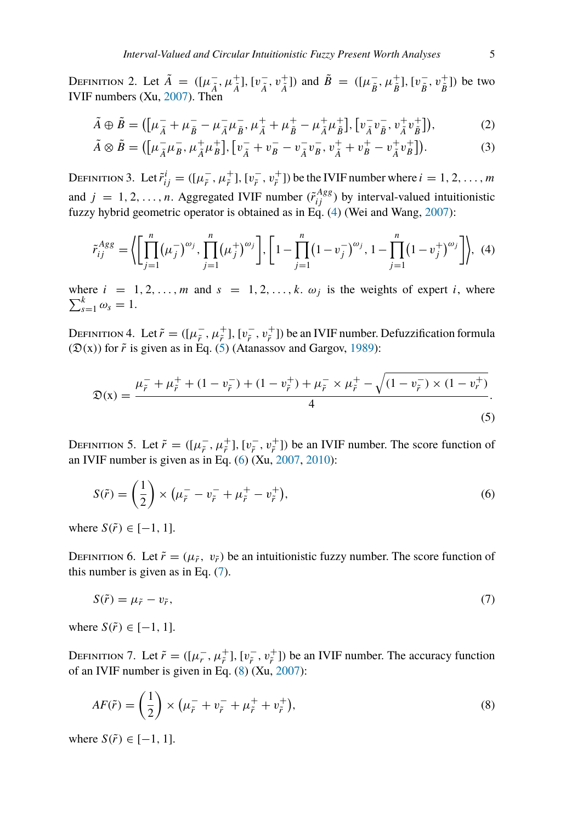DEFINITION 2. Let  $\tilde{A} = ([\mu_{\tilde{A}}^-, \mu_{\tilde{A}}^+], [\nu_{\tilde{A}}^-, \nu_{\tilde{A}}^+])$  and  $\tilde{B} = ([\mu_{\tilde{B}}^-, \mu_{\tilde{B}}^+], [\nu_{\tilde{B}}^-, \nu_{\tilde{B}}^+])$  be two NITION 2. Let  $\tilde{A} = ([\mu_{\tilde{A}}^-, \mu_{\tilde{A}}^+], [\nu_{\tilde{A}}^-, \nu_{\tilde{A}}^+])$  and  $\tilde{B} = ([\mu_{\tilde{B}}^-, \mu_{\tilde{B}}^+], [\nu_{\tilde{B}}^-,$ <br>numbers (Xu, 2007). Then<br> $\tilde{A} \oplus \tilde{B} = ([\mu_{\tilde{A}}^- + \mu_{\tilde{B}}^- - \mu_{\tilde{A}}^- \mu_{\tilde{B}}^+, \mu_{\tilde{A}}^+ + \mu_{$  $A \qquad A \qquad A \qquad B \qquad B \qquad D$ 

IVIF numbers (Xu, 2007). Then  
\n
$$
\tilde{A} \oplus \tilde{B} = ([\mu_{\tilde{A}}^{-} + \mu_{\tilde{B}}^{-} - \mu_{\tilde{A}}^{-} \mu_{\tilde{B}}^{-}, \mu_{\tilde{A}}^{+} + \mu_{\tilde{B}}^{+} - \mu_{\tilde{A}}^{+} \mu_{\tilde{B}}^{+}], [\nu_{\tilde{A}}^{-} \nu_{\tilde{B}}^{-}, \nu_{\tilde{A}}^{+} \nu_{\tilde{B}}^{+}]),
$$
\n
$$
\tilde{A} \otimes \tilde{B} = ([\mu_{\tilde{A}}^{-} \mu_{\tilde{B}}^{-}, \mu_{\tilde{A}}^{+} \mu_{\tilde{B}}^{+}], [\nu_{\tilde{A}}^{-} + \nu_{\tilde{B}}^{-} - \nu_{\tilde{A}}^{-} \nu_{\tilde{B}}^{-}, \nu_{\tilde{A}}^{+} + \nu_{\tilde{B}}^{+} - \nu_{\tilde{A}}^{+} \nu_{\tilde{B}}^{+}]).
$$
\n(3)

$$
\tilde{A} \otimes \tilde{B} = ([\mu_{\tilde{A}}^- \mu_B^- , \mu_{\tilde{A}}^+ \mu_B^+], [\nu_{\tilde{A}}^- + \nu_B^- - \nu_{\tilde{A}}^- \nu_B^-, \nu_{\tilde{A}}^+ + \nu_B^+ - \nu_{\tilde{A}}^+ \nu_B^+]).
$$
\n(3)

DEFINITION 3. Let  $\tilde{r}^i_{ij} = ([\mu^-_f, \mu^+_f], [\nu^-_f, \nu^+_f])$  be the IVIF number where  $i = 1, 2, ..., m$ and  $j = 1, 2, ..., n$ . Aggregated IVIF number  $(\tilde{r}_{ij}^{Agg})$  by interval-valued intuitionistic fuzzy hybrid geometric operator is obtained as in Eq. (4) (Wei and Wang, 2007):<br>  $\tilde{r}_{ij}^{Agg} = \left\langle \left[ \prod_{i=1}^{n} (\mu_{ij}^{-})^{\omega_j}, \prod_{i=1}$ fuzzy hybrid geometric operator is obtained as in Eq. [\(4](#page-4-0)) (Wei and Wang, [2007](#page-18-8)):

<span id="page-4-0"></span>
$$
\tilde{r}_{ij}^{Agg} = \left\langle \left[ \prod_{j=1}^{n} (\mu_j^{-})^{\omega_j}, \prod_{j=1}^{n} (\mu_j^{+})^{\omega_j} \right], \left[ 1 - \prod_{j=1}^{n} (1 - v_j^{-})^{\omega_j}, 1 - \prod_{j=1}^{n} (1 - v_j^{+})^{\omega_j} \right] \right\rangle, (4)
$$

where  $i = 1, 2, ..., m$  and  $s = 1, 2, ..., k$ .  $\omega_j$  is the weights of expert *i*, where  $\sum_{s=1}^{k} \omega_s = 1.$ 

DEFINITION 4. Let  $\tilde{r} = ([\mu_F^-,\mu_F^+], [v_F^-,\nu_F^+])$  be an IVIF number. Defuzzification formula  $(\mathfrak{D}(x))$  for  $\tilde{r}$  is given as in Eq. [\(5](#page-4-1)) (Atanassov and Gargov, [1989](#page-17-23)):

<span id="page-4-1"></span>
$$
\mathfrak{D}(\mathbf{x}) = \frac{\mu_{\tilde{r}}^- + \mu_{\tilde{r}}^+ + (1 - v_{\tilde{r}}^-) + (1 - v_{\tilde{r}}^+) + \mu_{\tilde{r}}^- \times \mu_{\tilde{r}}^+ - \sqrt{(1 - v_{\tilde{r}}^-) \times (1 - v_{r}^+)}}
$$
\n<sup>(5)</sup>

DEFINITION 5. Let  $\tilde{r} = ([\mu_{\tilde{r}}^-, \mu_{\tilde{r}}^+]$ ,  $[v_{\tilde{r}}^-, v_{\tilde{r}}^+]$ ) be an IVIF number. The score function of an IVIF number is given as in Eq. [\(6](#page-4-2)) (Xu, [2007](#page-18-7), [2010](#page-18-9)): 5. Let  $\tilde{r} = ([\mu_{\tilde{r}}^-, \mu_{\tilde{r}}^+], [v_{\tilde{r}}^-, v_{\tilde{r}}^+]$ <br>ber is given as in Eq. (6) (Xu, 20<br> $\left(\frac{1}{2}\right) \times (\mu_{\tilde{r}}^- - v_{\tilde{r}}^- + \mu_{\tilde{r}}^+ - v_{\tilde{r}}^+)$ 

<span id="page-4-2"></span>
$$
S(\tilde{r}) = \left(\frac{1}{2}\right) \times \left(\mu_{\tilde{r}} - v_{\tilde{r}} - \mu_{\tilde{r}} + \mu_{\tilde{r}} + v_{\tilde{r}}^{+}\right),\tag{6}
$$

where  $S(\tilde{r}) \in [-1, 1]$ .

DEFINITION 6. Let  $\tilde{r} = (\mu_{\tilde{r}}, \nu_{\tilde{r}})$  be an intuitionistic fuzzy number. The score function of this number is given as in Eq. [\(7](#page-4-3)).

<span id="page-4-3"></span>
$$
S(\tilde{r}) = \mu_{\tilde{r}} - v_{\tilde{r}},\tag{7}
$$

where  $S(\tilde{r}) \in [-1, 1]$ .

DEFINITION 7. Let  $\tilde{r} = ([\mu_r^-, \mu_f^+], [v_f^-, v_f^+])$  be an IVIF number. The accuracy function of an IVIF number is given in Eq. [\(8](#page-4-4)) (Xu, [2007](#page-18-7)): Let  $\tilde{r} = (\lbrack \mu_r^-, \mu_{\tilde{r}}^+ \rbrack, [\nu_{\tilde{r}}^-, \nu_{\tilde{r}}^+ \rbrack)$  then is given in Eq. (8) (Xu, 200<br>  $\left(\frac{1}{5}\right) \times (\mu_{\tilde{r}}^- + \nu_{\tilde{r}}^- + \mu_{\tilde{r}}^+ + \nu_{\tilde{r}}^+)$ 

<span id="page-4-4"></span>
$$
AF(\tilde{r}) = \left(\frac{1}{2}\right) \times \left(\mu_{\tilde{r}}^- + v_{\tilde{r}}^- + \mu_{\tilde{r}}^+ + v_{\tilde{r}}^+\right),\tag{8}
$$

where  $S(\tilde{r}) \in [-1, 1]$ .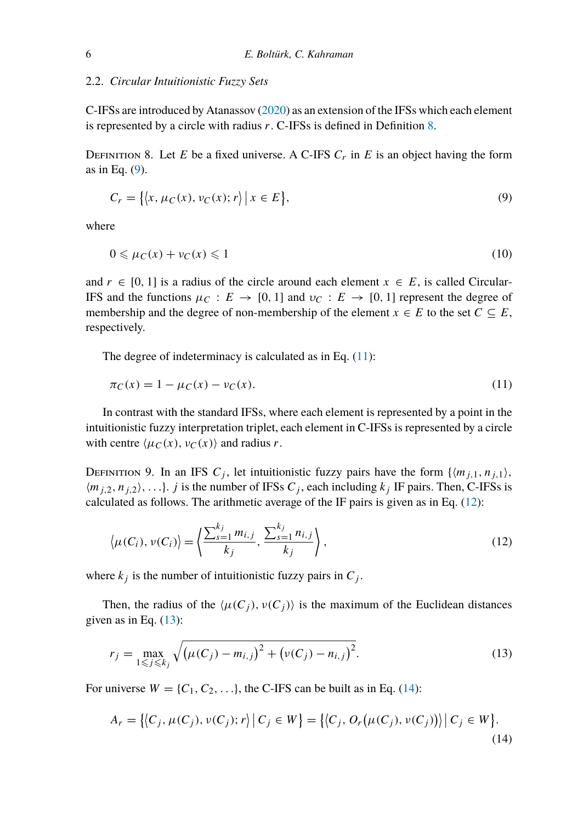#### 2.2. *Circular Intuitionistic Fuzzy Sets*

C-IFSs are introduced by Atanassov [\(2020](#page-17-6)) as an extension of the IFSs which each element is represented by a circle with radius *r*. C-IFSs is defined in Definition [8.](#page-5-0)

<span id="page-5-0"></span>DEFINITION 8. Let *E* be a fixed universe. A C-IFS  $C_r$  in *E* is an object having the form as in Eq. [\(9](#page-5-1)). NITION 8. Let *E* be a fixed universe.<br>Eq. (9).<br> $C_r = \{ (x, \mu_C(x), \nu_C(x); r) | x \in E \}$  $\begin{bmatrix} 1 \\ 1 \end{bmatrix}$ 

<span id="page-5-1"></span>
$$
C_r = \{ \langle x, \mu_C(x), \nu_C(x); r \rangle \mid x \in E \},\tag{9}
$$

where

$$
0 \leqslant \mu_C(x) + \nu_C(x) \leqslant 1\tag{10}
$$

and  $r \in [0, 1]$  is a radius of the circle around each element  $x \in E$ , is called Circular-IFS and the functions  $\mu_C : E \to [0, 1]$  and  $\nu_C : E \to [0, 1]$  represent the degree of membership and the degree of non-membership of the element  $x \in E$  to the set  $C \subseteq E$ , respectively.

The degree of indeterminacy is calculated as in Eq.  $(11)$  $(11)$ :

<span id="page-5-2"></span>
$$
\pi_C(x) = 1 - \mu_C(x) - \nu_C(x). \tag{11}
$$

In contrast with the standard IFSs, where each element is represented by a point in the intuitionistic fuzzy interpretation triplet, each element in C-IFSs is represented by a circle with centre  $\langle \mu_C(x), \nu_C(x) \rangle$  and radius *r*.

DEFINITION 9. In an IFS  $C_j$ , let intuitionistic fuzzy pairs have the form  $\{(m_{j,1}, n_{j,1})\}$ ,  $\langle m_{j,2}, n_{j,2} \rangle$ , ...}. *j* is the number of IFSs *C<sub>j</sub>*, each including  $k_j$  IF pairs. Then, C-IFSs is calculated as follows. The arithmetic average of the IF pairs is given as in Eq. [\(12\)](#page-5-3):

<span id="page-5-3"></span>
$$
\langle \mu(C_i), \nu(C_i) \rangle = \left\langle \frac{\sum_{s=1}^{k_j} m_{i,j}}{k_j}, \frac{\sum_{s=1}^{k_j} n_{i,j}}{k_j} \right\rangle, \tag{12}
$$

where  $k_j$  is the number of intuitionistic fuzzy pairs in  $C_j$ .

Then, the radius of the  $\langle \mu(C_j), \nu(C_j) \rangle$  is the maximum of the Euclidean distances<br>
en as in Eq. (13):<br>  $r_j = \max_{j \in \mathbb{N}} \sqrt{\left(\mu(C_j) - m_{i,j}\right)^2 + \left(\nu(C_j) - n_{i,j}\right)^2}$ . (13) given as in Eq.  $(13)$ :

<span id="page-5-4"></span>
$$
r_j = \max_{1 \le j \le k_j} \sqrt{(\mu(C_j) - m_{i,j})^2 + (\nu(C_j) - n_{i,j})^2}.
$$
  
\n
$$
\text{inverse } W = \{C_1, C_2, \ldots\}, \text{ the C-IFS can be built as in Eq. (14):}
$$
\n
$$
W = \{C_1, C_2, \ldots\}.
$$

For universe  $W = \{C_1, C_2, \ldots\}$ , the C-IFS can be built as in Eq. [\(14](#page-5-5)):  $\frac{1}{2}$ 

<span id="page-5-5"></span>
$$
1 \le j \le k_j
$$
  
inverse  $W = \{C_1, C_2, ...\}$ , the C-IFS can be built as in Eq. (14):  

$$
A_r = \{ (C_j, \mu(C_j), \nu(C_j); r) | C_j \in W \} = \{ (C_j, O_r(\mu(C_j), \nu(C_j))) | C_j \in W \}.
$$
 (14)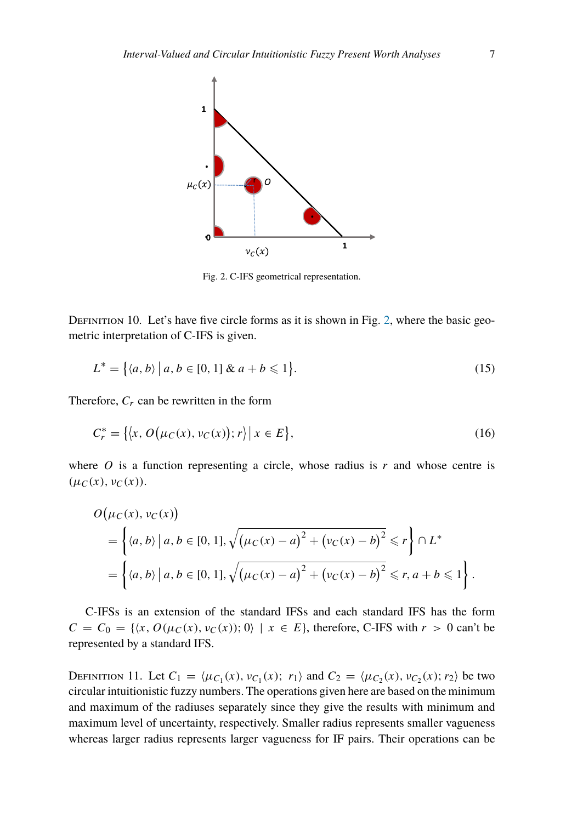<span id="page-6-0"></span>

Fig. 2. C-IFS geometrical representation.

DEFINITION 10. Let's have five circle forms as it is shown in Fig. [2](#page-6-0), where the basic geometric interpretation of C-IFS is given.<br>  $L^* = \{(a, b) | a, b \in [0, 1] \& a + b \le 1\}.$  (15) metric interpretation of C-IFS is given.

$$
L^* = \{(a, b) \mid a, b \in [0, 1] \& a + b \leq 1\}.
$$
\n(15)

Therefore, *Cr* can be rewritten in the form  $\frac{1}{2}$ 

$$
\text{efore, } C_r \text{ can be rewritten in the form}
$$
\n
$$
C_r^* = \{ \langle x, O(\mu_C(x), \nu_C(x)); r \rangle \mid x \in E \},\tag{16}
$$

where *O* is a function representing a circle, whose radius is *r* and whose centre is  $(\mu_C(x), \nu_C(x))$ .<br>*O*( $\mu_C(x), \nu_C(x)$ )  $(\mu_C(x), \nu_C(x)).$ 

$$
O(\mu_C(x), \nu_C(x))
$$
  
=  $\left\{ \langle a, b \rangle \, | \, a, b \in [0, 1], \sqrt{(\mu_C(x) - a)^2 + (\nu_C(x) - b)^2} \le r \right\} \cap L^*$   
=  $\left\{ \langle a, b \rangle \, | \, a, b \in [0, 1], \sqrt{(\mu_C(x) - a)^2 + (\nu_C(x) - b)^2} \le r, a + b \le 1 \right\}.$ 

C-IFSs is an extension of the standard IFSs and each standard IFS has the form  $C = C_0 = \{ (x, O(\mu_C(x), \nu_C(x)); 0) \mid x \in E \}$ , therefore, C-IFS with  $r > 0$  can't be represented by a standard IFS.

DEFINITION 11. Let  $C_1 = \langle \mu_{C_1}(x), \nu_{C_1}(x); r_1 \rangle$  and  $C_2 = \langle \mu_{C_2}(x), \nu_{C_2}(x); r_2 \rangle$  be two circular intuitionistic fuzzy numbers. The operations given here are based on the minimum and maximum of the radiuses separately since they give the results with minimum and maximum level of uncertainty, respectively. Smaller radius represents smaller vagueness whereas larger radius represents larger vagueness for IF pairs. Their operations can be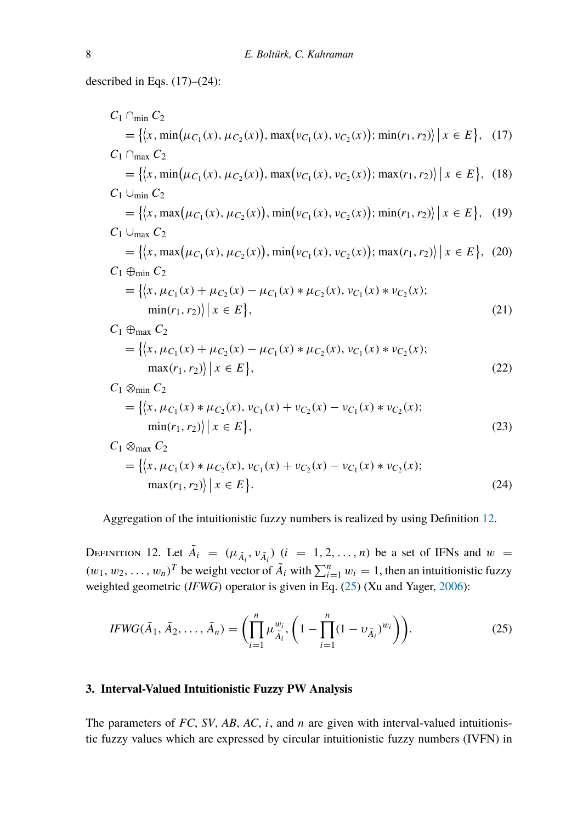described in Eqs. (17)–(24):  
\n
$$
C_1 \cap_{min} C_2 = \{ \langle x, min(\mu_{C_1}(x), \mu_{C_2}(x)), max(\nu_{C_1}(x), \nu_{C_2}(x)); min(r_1, r_2) \rangle | x \in E \}, (17)
$$
\n
$$
C_1 \cap_{max} C_2 = \{ \langle x, min(\mu_{C_1}(x), \mu_{C_2}(x)), max(\nu_{C_1}(x), \nu_{C_2}(x)); max(r_1, r_2) \rangle | x \in E \}, (18)
$$
\n
$$
C_1 \cup_{min} C_2 = \{ \langle x, max(\mu_{C_1}(x), \mu_{C_2}(x)), min(\nu_{C_1}(x), \nu_{C_2}(x)); min(r_1, r_2) \rangle | x \in E \}, (19)
$$
\n
$$
C_1 \cup_{max} C_2 = \{ \langle x, max(\mu_{C_1}(x), \mu_{C_2}(x)), min(\nu_{C_1}(x), \nu_{C_2}(x)); max(r_1, r_2) \rangle | x \in E \}, (20)
$$
\n
$$
C_1 \oplus_{min} C_2 = \{ \langle x, \mu_{C_1}(x) + \mu_{C_2}(x) - \mu_{C_1}(x) * \mu_{C_2}(x), \nu_{C_1}(x) * \nu_{C_2}(x);
$$
\n
$$
min(r_1, r_2) \rangle | x \in E \}, (21)
$$
\n
$$
C_1 \oplus_{max} C_2 = \{ \langle x, \mu_{C_1}(x) + \mu_{C_2}(x) - \mu_{C_1}(x) * \mu_{C_2}(x), \nu_{C_1}(x) * \nu_{C_2}(x);
$$
\n
$$
max(r_1, r_2) \rangle | x \in E \}, (22)
$$
\n
$$
= \{ \langle x, \mu_{C_1}(x) * \mu_{C_2}(x), \nu_{C_1}(x) + \nu_{C_2}(x) - \nu_{C_1}(x) * \nu_{C_2}(x);
$$
\n
$$
min(r_1, r_2) \rangle | x \in E \}, (23)
$$
\n
$$
C_1 \otimes_{max} C_2 = \{ \langle x, \mu_{C_1}(x) * \mu_{C_2}(x), \nu_{C_1}(x) + \nu
$$

Aggregation of the intuitionistic fuzzy numbers is realized by using Definition [12.](#page-7-1)

<span id="page-7-2"></span>*.* (24)

<span id="page-7-1"></span>DEFINITION 12. Let  $\tilde{A}_i = (\mu_{\tilde{A}_i}, \nu_{\tilde{A}_i})$   $(i = 1, 2, ..., n)$  be a set of IFNs and  $w =$ *Aggregation of the intuitionistic fuzzy numbers<br>
<i>DEFINITION 12. Let*  $\tilde{A}_i = (\mu_{\tilde{A}_i}, \nu_{\tilde{A}_i})$   $(i = 1, 2$ <br>  $(w_1, w_2, ..., w_n)^T$  be weight vector of  $\tilde{A}_i$  with  $\sum_{i=1}^n a_i$ ctor of  $\tilde{A}_i$  with  $\sum_{i=1}^n w_i = 1$ , then an intuitionistic fuzzy weighted geometric *(IFWG)* operator is given in Eq. [\(25](#page-7-2)) (Xu and Yager, [2006](#page-18-10)): ith  $\sum_{i=1}^{n}$ <br>in in Eq.<br>1 –  $\prod_{i=1}^{n}$ 

$$
IFWG(\tilde{A}_1, \tilde{A}_2, \dots, \tilde{A}_n) = \left( \prod_{i=1}^n \mu_{\tilde{A}_i}^{w_i}, \left( 1 - \prod_{i=1}^n (1 - \nu_{\tilde{A}_i})^{w_i} \right) \right).
$$
 (25)

## <span id="page-7-0"></span>**3. Interval-Valued Intuitionistic Fuzzy PW Analysis**

 $\max(r_1, r_2)$   $x \in E$ 

The parameters of *FC*, *SV*, *AB*, *AC*, *i*, and *n* are given with interval-valued intuitionistic fuzzy values which are expressed by circular intuitionistic fuzzy numbers (IVFN) in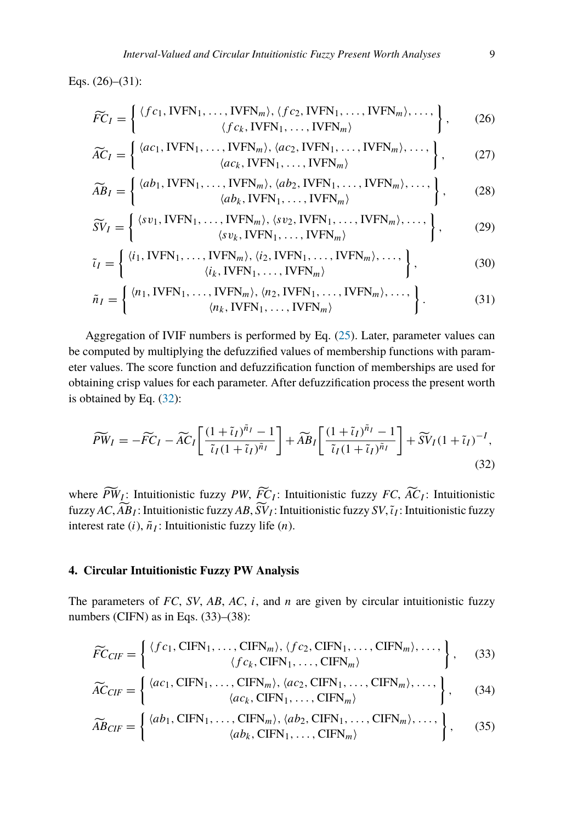Eqs. (26)–(31):

$$
\widetilde{FC}_I = \left\{ \begin{array}{l} \langle fc_1, \text{IVFN}_1, \dots, \text{IVFN}_m \rangle, \langle fc_2, \text{IVFN}_1, \dots, \text{IVFN}_m \rangle, \dots, \\ \langle fc_k, \text{IVFN}_1, \dots, \text{IVFN}_m \rangle \end{array} \right\}, \tag{26}
$$
\n
$$
\widetilde{AC}_I = \left\{ \begin{array}{l} \langle ac_1, \text{IVFN}_1, \dots, \text{IVFN}_m \rangle, \langle ac_2, \text{IVFN}_1, \dots, \text{IVFN}_m \rangle, \dots, \\ \langle ac_1, \text{IVFN}_m \rangle, \langle ac_2, \text{IVFN}_1, \dots, \text{IVFN}_m \rangle, \dots, \end{array} \right\}, \tag{27}
$$

$$
\widetilde{AC}_I = \left\{ \begin{array}{c} \langle ac_1, \text{IVFN}_1, \dots, \text{IVFN}_m \rangle, \langle ac_2, \text{IVFN}_1, \dots, \text{IVFN}_m \rangle, \dots, \\ \langle ac_k, \text{IVFN}_1, \dots, \text{IVFN}_m \rangle \end{array} \right\}, \tag{27}
$$
\n
$$
\widetilde{AB}_I = \left\{ \begin{array}{c} \langle ab_1, \text{IVFN}_1, \dots, \text{IVFN}_m \rangle, \langle ab_2, \text{IVFN}_1, \dots, \text{IVFN}_m \rangle, \dots, \\ \langle ab_1, \text{IVFN}_m \rangle, \langle ab_2, \text{IVFN}_1, \dots, \text{IVFN}_m \rangle, \dots, \end{array} \right\}, \tag{28}
$$

$$
\widetilde{AB}_I = \left\{ \begin{array}{c} \langle ab_1, \text{IVFN}_1, \dots, \text{IVFN}_m \rangle, \langle ab_2, \text{IVFN}_1, \dots, \text{IVFN}_m \rangle, \dots, \\ \langle ab_k, \text{IVFN}_1, \dots, \text{IVFN}_m \rangle \end{array} \right\}, \tag{28}
$$
\n
$$
\widetilde{SV}_I = \left\{ \begin{array}{c} \langle sv_1, \text{IVFN}_1, \dots, \text{IVFN}_m \rangle, \langle sv_2, \text{IVFN}_1, \dots, \text{IVFN}_m \rangle, \dots, \\ \langle sw, \text{IVFN}_m \rangle, \langle sv_2, \text{IVFN}_1, \dots, \text{IVFN}_m \rangle, \dots, \end{array} \right\}, \tag{29}
$$

$$
\widetilde{SV}_I = \left\{ \begin{array}{c} \langle sv_1, \text{IVFN}_1, \dots, \text{IVFN}_m \rangle, \langle sv_2, \text{IVFN}_1, \dots, \text{IVFN}_m \rangle, \dots, \\ \langle sv_k, \text{IVFN}_1, \dots, \text{IVFN}_m \rangle \end{array} \right\},\tag{29}
$$

$$
\tilde{\iota}_I = \left\{ \begin{array}{c} \langle i_1, \text{IVFN}_1, \dots, \text{IVFN}_m \rangle, \langle i_2, \text{IVFN}_1, \dots, \text{IVFN}_m \rangle, \dots, \\ \langle i_k, \text{IVFN}_1, \dots, \text{IVFN}_m \rangle \end{array} \right\},\tag{30}
$$

<span id="page-8-2"></span>
$$
\tilde{n}_I = \left\{ \begin{array}{c} \langle n_1, \text{IVFN}_1, \dots, \text{IVFN}_m \rangle, \langle n_2, \text{IVFN}_1, \dots, \text{IVFN}_m \rangle, \dots, \\ \langle n_k, \text{IVFN}_1, \dots, \text{IVFN}_m \rangle \end{array} \right\}.
$$
 (31)

Aggregation of IVIF numbers is performed by Eq. [\(25](#page-7-2)). Later, parameter values can be computed by multiplying the defuzzified values of membership functions with parameter values. The score function and defuzzification function of memberships are used for obtaining crisp values for each parameter. After defuzzification process the present worth

<span id="page-8-1"></span>is obtained by Eq. (32):  
\n
$$
\widetilde{PW}_I = -\widetilde{FC}_I - \widetilde{AC}_I \left[ \frac{(1+\widetilde{\iota}_I)^{\widetilde{n}_I} - 1}{\widetilde{\iota}_I (1+\widetilde{\iota}_I)^{\widetilde{n}_I}} \right] + \widetilde{AB}_I \left[ \frac{(1+\widetilde{\iota}_I)^{\widetilde{n}_I} - 1}{\widetilde{\iota}_I (1+\widetilde{\iota}_I)^{\widetilde{n}_I}} \right] + \widetilde{SV}_I (1+\widetilde{\iota}_I)^{-I},
$$
\n(32)  
\nwhere  $\widetilde{PW}_I$ : Intuitionistic fuzzy *PW*,  $\widetilde{FC}_I$ : Intuitionistic fuzzy *FC*,  $\widetilde{AC}_I$ : Intuitionistic

*(*32)<br>where  $\widetilde{PW}_I$ : Intuitionistic fuzzy  $PW$ ,  $\widetilde{FC}_I$ : Intuitionistic fuzzy  $FC$ ,  $\widetilde{AC}_I$ : Intuitionistic<br>fuzzy  $AC$ ,  $\widetilde{AB}_I$ : Intuitionistic fuzzy  $AB$ ,  $\widetilde{SV}_I$ : Intuitionistic fuzzy  $SV$ ,  $\widetilde{i}_I$ : Intuiti interest rate  $(i)$ ,  $\tilde{n}_I$ : Intuitionistic fuzzy life  $(n)$ .

## <span id="page-8-0"></span>**4. Circular Intuitionistic Fuzzy PW Analysis**

The parameters of *FC*, *SV*, *AB*, *AC*, *i*, and *n* are given by circular intuitionistic fuzzy numbers (CIFN) as in Eqs. (33)–(38):

$$
\widetilde{FC}_{CIF} = \left\{ \begin{array}{c} \langle fc_1, \text{CIFN}_1, \dots, \text{CIFN}_m \rangle, \langle fc_2, \text{CIFN}_1, \dots, \text{CIFN}_m \rangle, \dots, \\ \langle fc_k, \text{CIFN}_1, \dots, \text{CIFN}_m \rangle \end{array} \right\}, \quad (33)
$$
\n
$$
\widetilde{FC}_{CIF} = \left\{ \begin{array}{c} \langle fc_1, \text{CIFN}_1, \dots, \text{CIFN}_m \rangle, \langle fc_2, \text{CIFN}_1, \dots, \text{CIFN}_m \rangle, \dots, \\ \langle fc_k, \text{CIFN}_1, \dots, \text{CIFN}_m \rangle, \langle ac_2, \text{CIFN}_1, \dots, \text{CIFN}_m \rangle, \dots, \end{array} \right\}, \quad (34)
$$

$$
\widetilde{AC}_{CIF} = \left\{ \begin{array}{c} \langle ac_1, \text{CIFN}_1, \dots, \text{CIFN}_m \rangle, \langle ac_2, \text{CIFN}_1, \dots, \text{CIFN}_m \rangle, \dots, \\ \langle ac_k, \text{CIFN}_1, \dots, \text{CIFN}_m \rangle \end{array} \right\}, \tag{34}
$$
\n
$$
\widetilde{AB}_{CIF} = \left\{ \begin{array}{c} \langle ab_1, \text{CIFN}_1, \dots, \text{CIFN}_m \rangle, \langle ab_2, \text{CIFN}_1, \dots, \text{CIFN}_m \rangle, \dots, \\ \langle ab_n, \text{CIFN}_m \rangle, \langle ab_2, \text{CIFN}_1, \dots, \text{CIFN}_m \rangle, \dots, \end{array} \right\}, \tag{35}
$$

$$
\widetilde{AB}_{CIF} = \left\{ \begin{array}{c} \langle ab_1, \text{CIFN}_1, \dots, \text{CIFN}_m \rangle, \langle ab_2, \text{CIFN}_1, \dots, \text{CIFN}_m \rangle, \dots, \\ \langle ab_k, \text{CIFN}_1, \dots, \text{CIFN}_m \rangle \end{array} \right\},\tag{35}
$$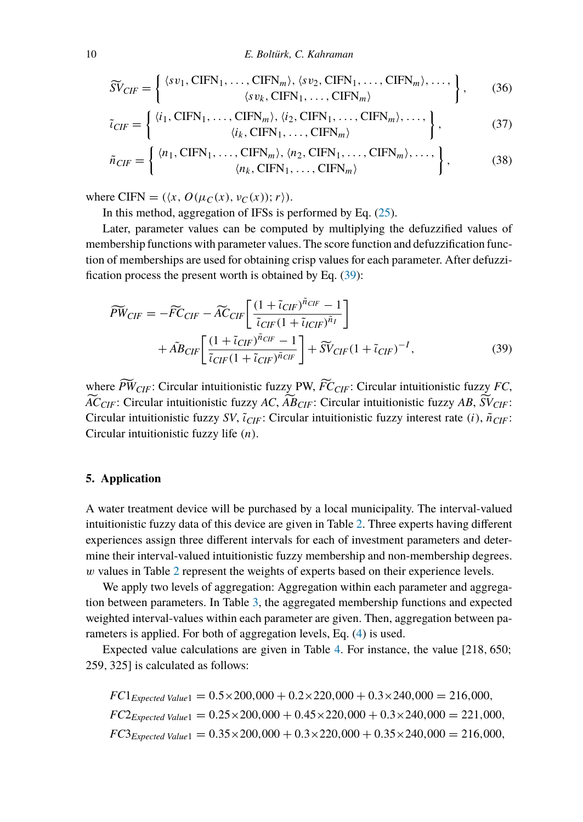$$
E. \text{ Boltiirk, C. Kahraman}
$$
\n
$$
\widetilde{SV}_{CIF} = \left\{ \begin{array}{c} \langle sv_1, \text{CIFN}_1, \dots, \text{CIFN}_m \rangle, \langle sv_2, \text{CIFN}_1, \dots, \text{CIFN}_m \rangle, \dots, \\ \langle sv_k, \text{CIFN}_1, \dots, \text{CIFN}_m \rangle \end{array} \right\}, \tag{36}
$$

$$
\tilde{\iota}_{CIF} = \left\{ \begin{array}{c} \langle i_1, \text{CIFN}_1, \dots, \text{CIFN}_m \rangle, \langle i_2, \text{CIFN}_1, \dots, \text{CIFN}_m \rangle, \dots, \\ \langle i_k, \text{CIFN}_1, \dots, \text{CIFN}_m \rangle \end{array} \right\},\tag{37}
$$

$$
\tilde{n}_{CIF} = \left\{ \begin{array}{c} \langle n_1, \text{CIFN}_1, \dots, \text{CIFN}_m \rangle, \langle n_2, \text{CIFN}_1, \dots, \text{CIFN}_m \rangle, \dots, \\ \langle n_k, \text{CIFN}_1, \dots, \text{CIFN}_m \rangle \end{array} \right\},\tag{38}
$$

where CIFN =  $(\langle x, O(\mu_C(x), \nu_C(x)); r \rangle)$ .

In this method, aggregation of IFSs is performed by Eq. [\(25\)](#page-7-2).

Later, parameter values can be computed by multiplying the defuzzified values of membership functions with parameter values. The score function and defuzzification function of memberships are used for obtaining crisp values for each parameter. After defuzzi fication process the present worth is obtained by Eq. ([39\)](#page-9-1): *PWCIF* =  $-\widetilde{FC}_{CIF} - \widetilde{AC}_{CIF}$ 

$$
\widetilde{PW}_{CIF} = -\widetilde{FC}_{CIF} - \widetilde{AC}_{CIF} \left[ \frac{(1 + \widetilde{i}_{CIF})^{\widetilde{n}_{CIF}} - 1}{\widetilde{i}_{CIF}(1 + \widetilde{i}_{ICIF})^{\widetilde{n}_{I}}} \right] \n+ \widetilde{AB}_{CIF} \left[ \frac{(1 + \widetilde{i}_{CIF})^{\widetilde{n}_{CIF}} - 1}{\widetilde{i}_{CIF}(1 + \widetilde{i}_{CIF})^{\widetilde{n}_{CIF}}} \right] + \widetilde{SV}_{CIF}(1 + \widetilde{i}_{CIF})^{-I},
$$
\nwhere  $\widetilde{PW}_{CIF}$ : Circular intuitionistic fuzzy PW,  $\widetilde{FC}_{CIF}$ : Circular intuitionistic fuzzy FC,

<span id="page-9-1"></span>*ACCIF*: Circular intuitionistic fuzzy PW,  $\widetilde{FC}_{CIF}$ : Circular intuitionistic fuzzy *FC*,  $\widetilde{AC}_{CIF}$ : Circular intuitionistic fuzzy *AC*,  $\widetilde{AB}_{CIF}$ : Circular intuitionistic fuzzy *AB*,  $\widetilde{SV}_{CIF}$ : Circular intuitionistic fuzzy *SV*, *ι*˜*CIF*: Circular intuitionistic fuzzy interest rate *(i)*, *n*˜*CIF*: Circular intuitionistic fuzzy life *(n)*.

## <span id="page-9-0"></span>**5. Application**

A water treatment device will be purchased by a local municipality. The interval-valued intuitionistic fuzzy data of this device are given in Table [2.](#page-10-0) Three experts having different experiences assign three different intervals for each of investment parameters and determine their interval-valued intuitionistic fuzzy membership and non-membership degrees. *w* values in Table [2](#page-10-0) represent the weights of experts based on their experience levels.

We apply two levels of aggregation: Aggregation within each parameter and aggregation between parameters. In Table [3,](#page-11-0) the aggregated membership functions and expected weighted interval-values within each parameter are given. Then, aggregation between parameters is applied. For both of aggregation levels, Eq. ([4\)](#page-4-0) is used.

Expected value calculations are given in Table [4](#page-12-0). For instance, the value [218*,* 650; 259*,* 325] is calculated as follows:

 $FC1_{Expected Value1} = 0.5 \times 200,000 + 0.2 \times 220,000 + 0.3 \times 240,000 = 216,000,$  $FC2_{Expected Value1} = 0.25 \times 200,000 + 0.45 \times 220,000 + 0.3 \times 240,000 = 221,000$ ,  $FC3_{Expected Value1} = 0.35 \times 200,000 + 0.3 \times 220,000 + 0.35 \times 240,000 = 216,000$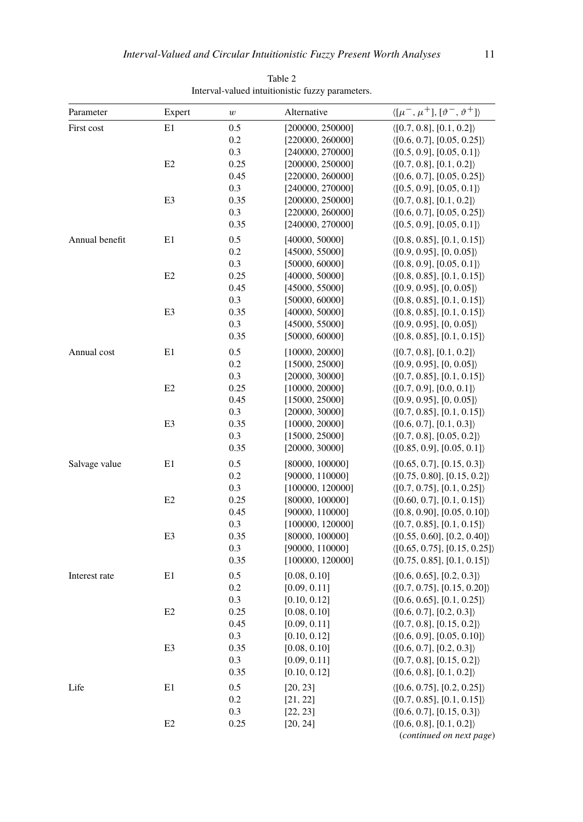<span id="page-10-0"></span>

| Parameter      | Expert         | $\boldsymbol{w}$ | Alternative      | $\langle [\mu^-, \mu^+] , [\vartheta^-, \vartheta^+] \rangle$ |
|----------------|----------------|------------------|------------------|---------------------------------------------------------------|
| First cost     | E1             | 0.5              | [200000, 250000] | $\langle [0.7, 0.8], [0.1, 0.2] \rangle$                      |
|                |                | 0.2              | [220000, 260000] | $\langle [0.6, 0.7], [0.05, 0.25] \rangle$                    |
|                |                | 0.3              | [240000, 270000] | $\langle [0.5, 0.9], [0.05, 0.1] \rangle$                     |
|                | E2             | 0.25             | [200000, 250000] | $\langle [0.7, 0.8], [0.1, 0.2] \rangle$                      |
|                |                | 0.45             | [220000, 260000] | $\langle [0.6, 0.7], [0.05, 0.25] \rangle$                    |
|                |                | 0.3              | [240000, 270000] | $\langle [0.5, 0.9], [0.05, 0.1] \rangle$                     |
|                | E3             | 0.35             | [200000, 250000] | $\langle [0.7, 0.8], [0.1, 0.2] \rangle$                      |
|                |                | 0.3              | [220000, 260000] | $\langle [0.6, 0.7], [0.05, 0.25] \rangle$                    |
|                |                | 0.35             | [240000, 270000] | $\langle [0.5, 0.9], [0.05, 0.1] \rangle$                     |
| Annual benefit | E1             | 0.5              | [40000, 50000]   | $\langle [0.8, 0.85], [0.1, 0.15] \rangle$                    |
|                |                | 0.2              | [45000, 55000]   | $\langle [0.9, 0.95], [0, 0.05] \rangle$                      |
|                |                | 0.3              | [50000, 60000]   | $\langle [0.8, 0.9], [0.05, 0.1] \rangle$                     |
|                | E2             | 0.25             | [40000, 50000]   | $\langle [0.8, 0.85], [0.1, 0.15] \rangle$                    |
|                |                | 0.45             | [45000, 55000]   | $\langle [0.9, 0.95], [0, 0.05] \rangle$                      |
|                |                | 0.3              | [50000, 60000]   | $\langle [0.8, 0.85], [0.1, 0.15] \rangle$                    |
|                | E3             | 0.35             | [40000, 50000]   | $\langle [0.8, 0.85], [0.1, 0.15] \rangle$                    |
|                |                | 0.3              | [45000, 55000]   | $\langle [0.9, 0.95], [0, 0.05] \rangle$                      |
|                |                | 0.35             | [50000, 60000]   | $\langle [0.8, 0.85], [0.1, 0.15] \rangle$                    |
| Annual cost    | E1             | 0.5              | [10000, 20000]   | $\langle [0.7, 0.8], [0.1, 0.2] \rangle$                      |
|                |                | 0.2              | [15000, 25000]   | $\langle [0.9, 0.95], [0, 0.05] \rangle$                      |
|                |                | 0.3              | [20000, 30000]   | $\langle [0.7, 0.85], [0.1, 0.15] \rangle$                    |
|                | E <sub>2</sub> | 0.25             | [10000, 20000]   | $\langle [0.7, 0.9], [0.0, 0.1] \rangle$                      |
|                |                | 0.45             | [15000, 25000]   | $\langle [0.9, 0.95], [0, 0.05] \rangle$                      |
|                |                | 0.3              | [20000, 30000]   | $\langle [0.7, 0.85], [0.1, 0.15] \rangle$                    |
|                | E3             | 0.35             | [10000, 20000]   | $\langle [0.6, 0.7], [0.1, 0.3] \rangle$                      |
|                |                | 0.3              | [15000, 25000]   | $\langle [0.7, 0.8], [0.05, 0.2] \rangle$                     |
|                |                | 0.35             | [20000, 30000]   | $\langle [0.85, 0.9], [0.05, 0.1] \rangle$                    |
| Salvage value  | E1             | 0.5              | [80000, 100000]  | $\langle [0.65, 0.7], [0.15, 0.3] \rangle$                    |
|                |                | 0.2              | [90000, 110000]  | $\langle [0.75, 0.80], [0.15, 0.2] \rangle$                   |
|                |                | 0.3              | [100000, 120000] | $\langle [0.7, 0.75], [0.1, 0.25] \rangle$                    |
|                | E <sub>2</sub> | 0.25             | [80000, 100000]  | $\langle [0.60, 0.7], [0.1, 0.15] \rangle$                    |
|                |                | 0.45             | [90000, 110000]  | $\langle [0.8, 0.90], [0.05, 0.10] \rangle$                   |
|                |                | 0.3              | [100000, 120000] | $\langle [0.7, 0.85], [0.1, 0.15] \rangle$                    |
|                | E3             | 0.35             | [80000, 100000]  | $\langle [0.55, 0.60], [0.2, 0.40] \rangle$                   |
|                |                | 0.3              | [90000, 110000]  | $\langle [0.65, 0.75], [0.15, 0.25] \rangle$                  |
|                |                | 0.35             | [100000, 120000] | $\langle [0.75, 0.85], [0.1, 0.15] \rangle$                   |
| Interest rate  | E1             | 0.5              | [0.08, 0.10]     | $\langle [0.6, 0.65], [0.2, 0.3] \rangle$                     |
|                |                | 0.2              | [0.09, 0.11]     | $\langle [0.7, 0.75], [0.15, 0.20] \rangle$                   |
|                |                | 0.3              | [0.10, 0.12]     | $\langle$ [0.6, 0.65], [0.1, 0.25])                           |
|                | E2             | 0.25             | [0.08, 0.10]     | $\langle [0.6, 0.7], [0.2, 0.3] \rangle$                      |
|                |                | 0.45             | [0.09, 0.11]     | $\langle [0.7, 0.8], [0.15, 0.2] \rangle$                     |
|                |                | 0.3              | [0.10, 0.12]     | $\langle [0.6, 0.9], [0.05, 0.10] \rangle$                    |
|                | E3             | 0.35             | [0.08, 0.10]     | $\langle [0.6, 0.7], [0.2, 0.3] \rangle$                      |
|                |                | 0.3              | [0.09, 0.11]     | $\langle [0.7, 0.8], [0.15, 0.2] \rangle$                     |
|                |                | 0.35             | [0.10, 0.12]     | $\langle [0.6, 0.8], [0.1, 0.2] \rangle$                      |
| Life           | E1             | 0.5              | [20, 23]         | $\langle [0.6, 0.75], [0.2, 0.25] \rangle$                    |
|                |                | 0.2              | [21, 22]         | $\langle [0.7, 0.85], [0.1, 0.15] \rangle$                    |
|                |                | 0.3              | [22, 23]         | $\langle [0.6, 0.7], [0.15, 0.3] \rangle$                     |
|                | E <sub>2</sub> | 0.25             | [20, 24]         | $\langle [0.6, 0.8], [0.1, 0.2] \rangle$                      |
|                |                |                  |                  | (continued on next page)                                      |

Table 2 Interval-valued intuitionistic fuzzy parameters.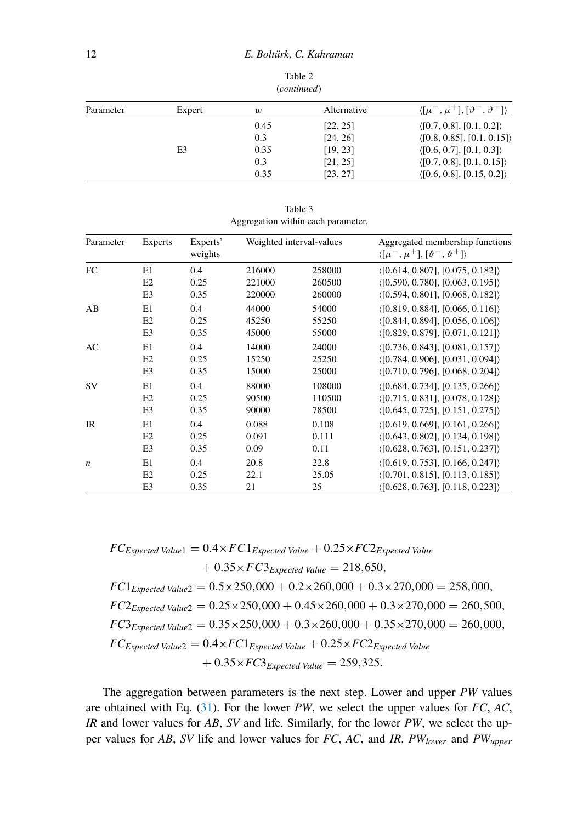| Parameter | Expert | $\boldsymbol{w}$ | Alternative | $\langle [\mu^-, \mu^+] , [\vartheta^-, \vartheta^+] \rangle$ |
|-----------|--------|------------------|-------------|---------------------------------------------------------------|
|           |        | 0.45             | [22, 25]    | $\langle [0.7, 0.8], [0.1, 0.2] \rangle$                      |
|           |        | 0.3              | [24, 26]    | $\langle$ [0.8, 0.85], [0.1, 0.15] $\rangle$                  |
|           | E3     | 0.35             | [19, 23]    | $\langle [0.6, 0.7], [0.1, 0.3] \rangle$                      |
|           |        | 0.3              | [21, 25]    | $\langle [0.7, 0.8], [0.1, 0.15] \rangle$                     |
|           |        | 0.35             | [23, 27]    | $\langle [0.6, 0.8], [0.15, 0.2] \rangle$                     |

Table 2 (*continued*)

| Table 3                            |
|------------------------------------|
| Aggregation within each parameter. |

<span id="page-11-0"></span>

| Parameter        | Experts        | Experts'<br>weights |        | Weighted interval-values | Aggregated membership functions<br>$\langle [\mu^-, \mu^+] , [\vartheta^-, \vartheta^+] \rangle$ |
|------------------|----------------|---------------------|--------|--------------------------|--------------------------------------------------------------------------------------------------|
| FC               | E1             | 0.4                 | 216000 | 258000                   | (0.614, 0.807], [0.075, 0.182]                                                                   |
|                  | E2             | 0.25                | 221000 | 260500                   | (0.590, 0.780], [0.063, 0.195])                                                                  |
|                  | E <sub>3</sub> | 0.35                | 220000 | 260000                   | (0.594, 0.801], [0.068, 0.182])                                                                  |
| AB               | E1             | 0.4                 | 44000  | 54000                    | (0.819, 0.884], [0.066, 0.116])                                                                  |
|                  | E2             | 0.25                | 45250  | 55250                    | (0.844, 0.894], [0.056, 0.106])                                                                  |
|                  | E <sub>3</sub> | 0.35                | 45000  | 55000                    | (0.829, 0.879, 0.071, 0.121)                                                                     |
| AC               | E1             | 0.4                 | 14000  | 24000                    | ( [0.736, 0.843], [0.081, 0.157])                                                                |
|                  | E2             | 0.25                | 15250  | 25250                    | (0.784, 0.906], [0.031, 0.094])                                                                  |
|                  | E <sub>3</sub> | 0.35                | 15000  | 25000                    | (0.710, 0.796], [0.068, 0.204])                                                                  |
| <b>SV</b>        | E1             | 0.4                 | 88000  | 108000                   | $\langle$ [0.684, 0.734], [0.135, 0.266] $\rangle$                                               |
|                  | E2             | 0.25                | 90500  | 110500                   | $\langle [0.715, 0.831], [0.078, 0.128] \rangle$                                                 |
|                  | E <sub>3</sub> | 0.35                | 90000  | 78500                    | $\langle$ [0.645, 0.725], [0.151, 0.275] $\rangle$                                               |
| <b>IR</b>        | E1             | 0.4                 | 0.088  | 0.108                    | (0.619, 0.669], [0.161, 0.266])                                                                  |
|                  | E2             | 0.25                | 0.091  | 0.111                    | ( [0.643, 0.802], [0.134, 0.198])                                                                |
|                  | E <sub>3</sub> | 0.35                | 0.09   | 0.11                     | $\langle [0.628, 0.763], [0.151, 0.237] \rangle$                                                 |
| $\boldsymbol{n}$ | E1             | 0.4                 | 20.8   | 22.8                     | $\langle$ [0.619, 0.753], [0.166, 0.247])                                                        |
|                  | E2             | 0.25                | 22.1   | 25.05                    | $\langle [0.701, 0.815], [0.113, 0.185] \rangle$                                                 |
|                  | E <sub>3</sub> | 0.35                | 21     | 25                       | (0.628, 0.763], [0.118, 0.223])                                                                  |

 $FC_{Expected Value1} = 0.4 \times FC1_{Expected Value1} + 0.25 \times FC2_{Expected Value1}$  $+ 0.35 \times FC3$ *Expected Value* = 218,650*,*  $FC1_{Expected Value2} = 0.5 \times 250,000 + 0.2 \times 260,000 + 0.3 \times 270,000 = 258,000$  $FC2$ *Expected Value*<sub>2</sub> =  $0.25 \times 250,000 + 0.45 \times 260,000 + 0.3 \times 270,000 = 260,500$ ,  $FC3_{Expected Value2} = 0.35 \times 250,000 + 0.3 \times 260,000 + 0.35 \times 270,000 = 260,000$ ,  $FC_{Expected Value2} = 0.4 \times FC1_{Expected Value} + 0.25 \times FC2_{Expected Value}$  $+ 0.35 \times FC3$ *Expected Value* = 259,325*.* 

The aggregation between parameters is the next step. Lower and upper *PW* values are obtained with Eq. ([31\)](#page-8-2). For the lower *PW*, we select the upper values for *FC*, *AC*, *IR* and lower values for *AB*, *SV* and life. Similarly, for the lower *PW*, we select the upper values for *AB*, *SV* life and lower values for *FC*, *AC*, and *IR*. *PWlower* and *PWupper*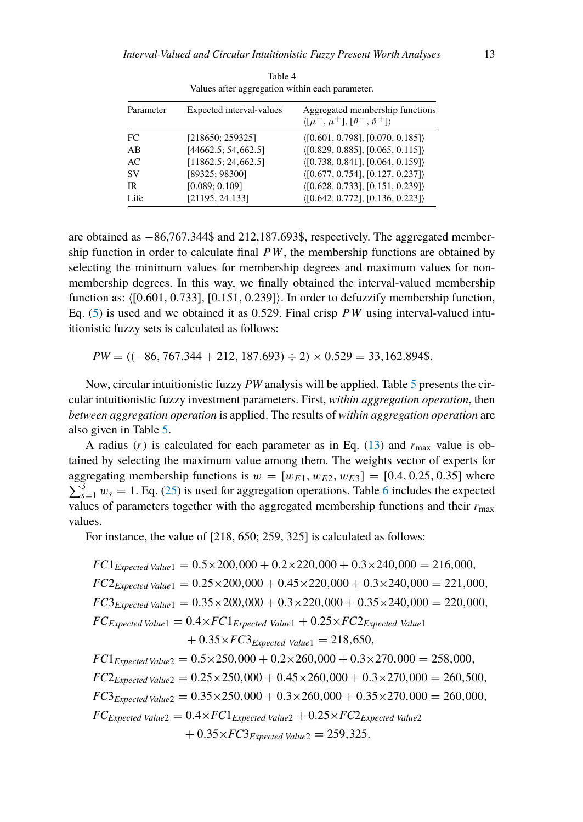<span id="page-12-0"></span>

| Parameter | Expected interval-values | Aggregated membership functions<br>$\langle [\mu^-, \mu^+], [\vartheta^-, \vartheta^+] \rangle$ |  |  |  |  |
|-----------|--------------------------|-------------------------------------------------------------------------------------------------|--|--|--|--|
| FC        | [218650; 259325]         | (0.601, 0.798], [0.070, 0.185])                                                                 |  |  |  |  |
| AB        | [44662.5; 54, 662.5]     | (0.829, 0.885], [0.065, 0.115])                                                                 |  |  |  |  |
| AC        | [11862.5; 24, 662.5]     | ( [0.738, 0.841], [0.064, 0.159])                                                               |  |  |  |  |
| <b>SV</b> | [89325; 98300]           | $\langle$ [0.677, 0.754], [0.127, 0.237] $\rangle$                                              |  |  |  |  |
| <b>IR</b> | [0.089; 0.109]           | $\langle$ [0.628, 0.733], [0.151, 0.239] $\rangle$                                              |  |  |  |  |
| Life      | [21195, 24.133]          | $\langle [0.642, 0.772], [0.136, 0.223] \rangle$                                                |  |  |  |  |

Table 4 Values after aggregation within each parameter.

are obtained as −86,767.344\$ and 212,187.693\$, respectively. The aggregated membership function in order to calculate final *PW*, the membership functions are obtained by selecting the minimum values for membership degrees and maximum values for nonmembership degrees. In this way, we finally obtained the interval-valued membership function as: [0*.*601*,* 0*.*733]*,*[0*.*151*,* 0*.*239] . In order to defuzzify membership function, Eq. ([5\)](#page-4-1) is used and we obtained it as 0.529. Final crisp *PW* using interval-valued intuitionistic fuzzy sets is calculated as follows:

*PW* = *((*−86*,* 767*.*344 + 212*,* 187*.*693*)* ÷ 2*)* × 0*.*529 = 33*,*162*.*894\$*.*

Now, circular intuitionistic fuzzy *PW* analysis will be applied. Table [5](#page-13-0) presents the circular intuitionistic fuzzy investment parameters. First, *within aggregation operation*, then *between aggregation operation* is applied. The results of *within aggregation operation* are also given in Table [5](#page-13-0).

A radius  $(r)$  is calculated for each parameter as in Eq. [\(13](#page-5-4)) and  $r_{\text{max}}$  value is obtained by selecting the maximum value among them. The weights vector of experts for  $\sum_{s=1}^{3} w_s = 1$ . Eq. [\(25](#page-7-2)) is used for aggregation operations. Table [6](#page-14-0) includes the expected aggregating membership functions is  $w = [w_{E1}, w_{E2}, w_{E3}] = [0.4, 0.25, 0.35]$  where values of parameters together with the aggregated membership functions and their  $r_{\text{max}}$ values.

For instance, the value of [218*,* 650; 259*,* 325] is calculated as follows:

$$
FC1_{Expected Value1} = 0.5 \times 200,000 + 0.2 \times 220,000 + 0.3 \times 240,000 = 216,000,
$$
  
\n
$$
FC2_{Expected Value1} = 0.25 \times 200,000 + 0.45 \times 220,000 + 0.3 \times 240,000 = 221,000,
$$
  
\n
$$
FC3_{Expected Value1} = 0.35 \times 200,000 + 0.3 \times 220,000 + 0.35 \times 240,000 = 220,000,
$$
  
\n
$$
FC_{Expected Value1} = 0.4 \times FC1_{Expected Value1} + 0.25 \times FC2_{Expected Value1}
$$
  
\n
$$
+ 0.35 \times FC3_{Expected Value1} = 218,650,
$$
  
\n
$$
FC1_{Expected Value2} = 0.5 \times 250,000 + 0.2 \times 260,000 + 0.3 \times 270,000 = 258,000,
$$
  
\n
$$
FC2_{Expected Value2} = 0.25 \times 250,000 + 0.45 \times 260,000 + 0.3 \times 270,000 = 260,500,
$$
  
\n
$$
FC3_{Expected Value2} = 0.35 \times 250,000 + 0.3 \times 260,000 + 0.35 \times 270,000 = 260,000,
$$
  
\n
$$
FC3_{Expected Value2} = 0.4 \times FC1_{Expected Value2} + 0.25 \times FC2_{Expected Value2}
$$
  
\n
$$
+ 0.35 \times FC3_{Expected Value2} = 259,325.
$$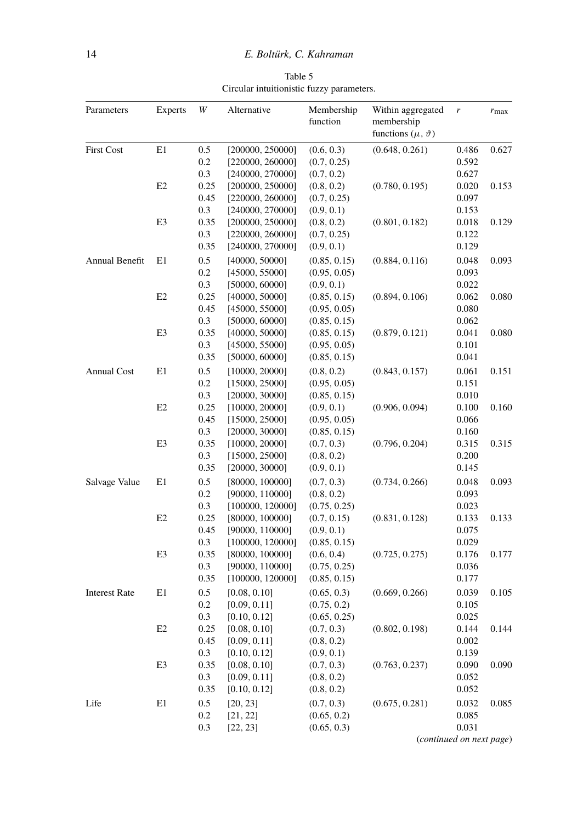Table 5 Circular intuitionistic fuzzy parameters.

<span id="page-13-0"></span>

| Parameters           | <b>Experts</b> | W                     | Alternative                                              | Membership<br>function                       | Within aggregated<br>membership<br>functions $(\mu, \vartheta)$ | r                        | $r_{\text{max}}$ |
|----------------------|----------------|-----------------------|----------------------------------------------------------|----------------------------------------------|-----------------------------------------------------------------|--------------------------|------------------|
| <b>First Cost</b>    | E1             | $0.5\,$<br>0.2<br>0.3 | [200000, 250000]<br>[220000, 260000]<br>[240000, 270000] | (0.6, 0.3)<br>(0.7, 0.25)<br>(0.7, 0.2)      | (0.648, 0.261)                                                  | 0.486<br>0.592<br>0.627  | 0.627            |
|                      | E <sub>2</sub> | 0.25<br>0.45<br>0.3   | [200000, 250000]<br>[220000, 260000]<br>[240000, 270000] | (0.8, 0.2)<br>(0.7, 0.25)<br>(0.9, 0.1)      | (0.780, 0.195)                                                  | 0.020<br>0.097<br>0.153  | 0.153            |
|                      | E3             | 0.35<br>0.3<br>0.35   | [200000, 250000]<br>[220000, 260000]<br>[240000, 270000] | (0.8, 0.2)<br>(0.7, 0.25)<br>(0.9, 0.1)      | (0.801, 0.182)                                                  | 0.018<br>0.122<br>0.129  | 0.129            |
| Annual Benefit       | E1             | 0.5<br>0.2<br>0.3     | [40000, 50000]<br>[45000, 55000]<br>[50000, 60000]       | (0.85, 0.15)<br>(0.95, 0.05)<br>(0.9, 0.1)   | (0.884, 0.116)                                                  | 0.048<br>0.093<br>0.022  | 0.093            |
|                      | E <sub>2</sub> | 0.25<br>0.45<br>0.3   | [40000, 50000]<br>[45000, 55000]<br>[50000, 60000]       | (0.85, 0.15)<br>(0.95, 0.05)<br>(0.85, 0.15) | (0.894, 0.106)                                                  | 0.062<br>0.080<br>0.062  | 0.080            |
|                      | E3             | 0.35<br>0.3<br>0.35   | [40000, 50000]<br>[45000, 55000]<br>[50000, 60000]       | (0.85, 0.15)<br>(0.95, 0.05)<br>(0.85, 0.15) | (0.879, 0.121)                                                  | 0.041<br>0.101<br>0.041  | 0.080            |
| <b>Annual Cost</b>   | E1             | 0.5<br>0.2<br>0.3     | [10000, 20000]<br>[15000, 25000]<br>[20000, 30000]       | (0.8, 0.2)<br>(0.95, 0.05)<br>(0.85, 0.15)   | (0.843, 0.157)                                                  | 0.061<br>0.151<br>0.010  | 0.151            |
|                      | E <sub>2</sub> | 0.25<br>0.45<br>0.3   | [10000, 20000]<br>[15000, 25000]<br>[20000, 30000]       | (0.9, 0.1)<br>(0.95, 0.05)<br>(0.85, 0.15)   | (0.906, 0.094)                                                  | 0.100<br>0.066<br>0.160  | 0.160            |
|                      | E3             | 0.35<br>0.3<br>0.35   | [10000, 20000]<br>[15000, 25000]<br>[20000, 30000]       | (0.7, 0.3)<br>(0.8, 0.2)<br>(0.9, 0.1)       | (0.796, 0.204)                                                  | 0.315<br>0.200<br>0.145  | 0.315            |
| Salvage Value        | E1             | 0.5<br>0.2<br>0.3     | [80000, 100000]<br>[90000, 110000]<br>[100000, 120000]   | (0.7, 0.3)<br>(0.8, 0.2)<br>(0.75, 0.25)     | (0.734, 0.266)                                                  | 0.048<br>0.093<br>0.023  | 0.093            |
|                      | E <sub>2</sub> | 0.25<br>0.45<br>0.3   | [80000, 100000]<br>[90000, 110000]<br>[100000, 120000]   | (0.7, 0.15)<br>(0.9, 0.1)<br>(0.85, 0.15)    | (0.831, 0.128)                                                  | 0.133<br>0.075<br>0.029  | 0.133            |
|                      | E3             | 0.35<br>0.3<br>0.35   | [80000, 100000]<br>[90000, 110000]<br>[100000, 120000]   | (0.6, 0.4)<br>(0.75, 0.25)<br>(0.85, 0.15)   | (0.725, 0.275)                                                  | 0.176<br>0.036<br>0.177  | 0.177            |
| <b>Interest Rate</b> | E1             | 0.5<br>0.2<br>0.3     | [0.08, 0.10]<br>[0.09, 0.11]<br>[0.10, 0.12]             | (0.65, 0.3)<br>(0.75, 0.2)<br>(0.65, 0.25)   | (0.669, 0.266)                                                  | 0.039<br>0.105<br>0.025  | 0.105            |
|                      | E <sub>2</sub> | 0.25<br>0.45<br>0.3   | [0.08, 0.10]<br>[0.09, 0.11]<br>[0.10, 0.12]             | (0.7, 0.3)<br>(0.8, 0.2)<br>(0.9, 0.1)       | (0.802, 0.198)                                                  | 0.144<br>0.002<br>0.139  | 0.144            |
|                      | E3             | 0.35<br>0.3<br>0.35   | [0.08, 0.10]<br>[0.09, 0.11]<br>[0.10, 0.12]             | (0.7, 0.3)<br>(0.8, 0.2)<br>(0.8, 0.2)       | (0.763, 0.237)                                                  | 0.090<br>0.052<br>0.052  | 0.090            |
| Life                 | E1             | 0.5<br>0.2<br>0.3     | [20, 23]<br>[21, 22]<br>[22, 23]                         | (0.7, 0.3)<br>(0.65, 0.2)<br>(0.65, 0.3)     | (0.675, 0.281)                                                  | 0.032<br>0.085<br>0.031  | 0.085            |
|                      |                |                       |                                                          |                                              |                                                                 | (continued on next page) |                  |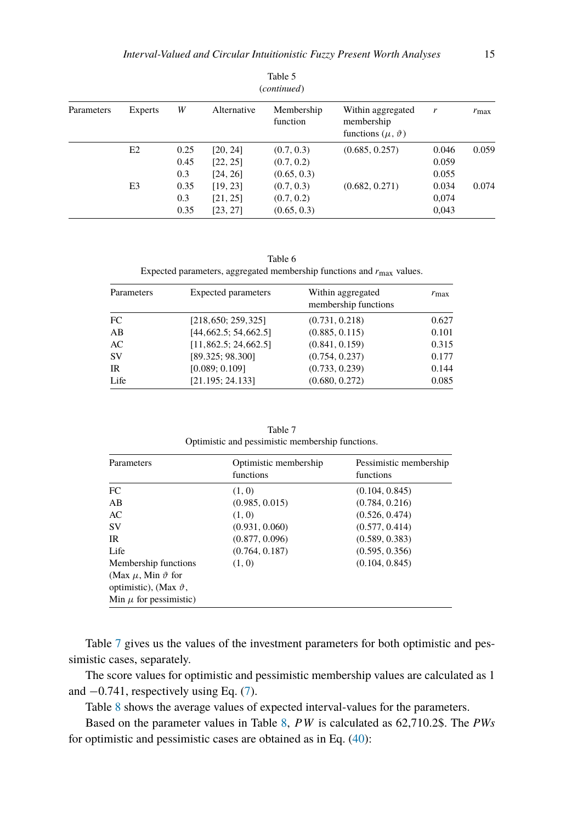| (continued) |                |      |             |                        |                                                                 |       |               |
|-------------|----------------|------|-------------|------------------------|-----------------------------------------------------------------|-------|---------------|
| Parameters  | Experts        | W    | Alternative | Membership<br>function | Within aggregated<br>membership<br>functions $(\mu, \vartheta)$ | r     | $r_{\rm max}$ |
|             | E <sub>2</sub> | 0.25 | [20, 24]    | (0.7, 0.3)             | (0.685, 0.257)                                                  | 0.046 | 0.059         |
|             |                | 0.45 | [22, 25]    | (0.7, 0.2)             |                                                                 | 0.059 |               |
|             |                | 0.3  | [24, 26]    | (0.65, 0.3)            |                                                                 | 0.055 |               |
|             | E <sub>3</sub> | 0.35 | [19, 23]    | (0.7, 0.3)             | (0.682, 0.271)                                                  | 0.034 | 0.074         |
|             |                | 0.3  | [21, 25]    | (0.7, 0.2)             |                                                                 | 0,074 |               |
|             |                | 0.35 | [23, 27]    | (0.65, 0.3)            |                                                                 | 0,043 |               |

Table 5

Table 6 Expected parameters, aggregated membership functions and *r*max values.

<span id="page-14-0"></span>

| Parameters | <b>Expected parameters</b> | Within aggregated<br>membership functions | $r_{\rm max}$ |
|------------|----------------------------|-------------------------------------------|---------------|
| FC         | [218, 650; 259, 325]       | (0.731, 0.218)                            | 0.627         |
| AB         | [44, 662.5; 54, 662.5]     | (0.885, 0.115)                            | 0.101         |
| AC         | [11,862.5; 24,662.5]       | (0.841, 0.159)                            | 0.315         |
| <b>SV</b>  | [89.325; 98.300]           | (0.754, 0.237)                            | 0.177         |
| IR         | [0.089; 0.109]             | (0.733, 0.239)                            | 0.144         |
| Life       | [21.195; 24.133]           | (0.680, 0.272)                            | 0.085         |

Table 7 Optimistic and pessimistic membership functions.

<span id="page-14-1"></span>

| Parameters                       | Optimistic membership<br>functions | Pessimistic membership<br>functions |
|----------------------------------|------------------------------------|-------------------------------------|
| FC                               | (1, 0)                             | (0.104, 0.845)                      |
| AB                               | (0.985, 0.015)                     | (0.784, 0.216)                      |
| AC                               | (1, 0)                             | (0.526, 0.474)                      |
| <b>SV</b>                        | (0.931, 0.060)                     | (0.577, 0.414)                      |
| <b>IR</b>                        | (0.877, 0.096)                     | (0.589, 0.383)                      |
| Life                             | (0.764, 0.187)                     | (0.595, 0.356)                      |
| Membership functions             | (1, 0)                             | (0.104, 0.845)                      |
| (Max $\mu$ , Min $\vartheta$ for |                                    |                                     |
| optimistic), (Max $\vartheta$ ,  |                                    |                                     |
| Min $\mu$ for pessimistic)       |                                    |                                     |

Table [7](#page-14-1) gives us the values of the investment parameters for both optimistic and pessimistic cases, separately.

The score values for optimistic and pessimistic membership values are calculated as 1 and −0.741, respectively using Eq. [\(7](#page-4-3)).

Table [8](#page-15-1) shows the average values of expected interval-values for the parameters.

Based on the parameter values in Table [8](#page-15-1), *PW* is calculated as 62,710.2\$. The *PWs* for optimistic and pessimistic cases are obtained as in Eq. [\(40](#page-15-2)):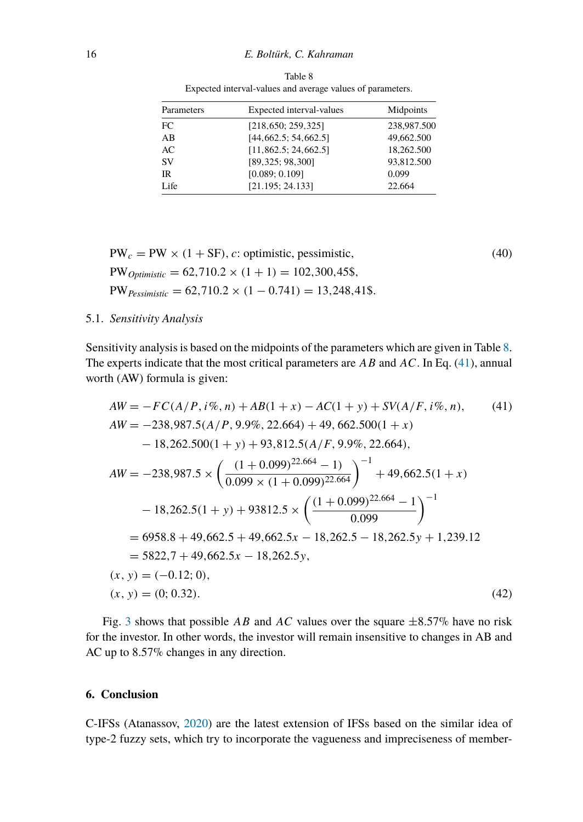<span id="page-15-1"></span>

| Parameters | Expected interval-values | Midpoints   |
|------------|--------------------------|-------------|
| FC         | [218, 650; 259, 325]     | 238,987.500 |
| AB         | [44, 662.5; 54, 662.5]   | 49,662.500  |
| AC         | [11,862.5; 24,662.5]     | 18,262.500  |
| <b>SV</b>  | [89, 325; 98, 300]       | 93,812.500  |
| IR         | [0.089; 0.109]           | 0.099       |
| Life       | [21.195; 24.133]         | 22.664      |

<span id="page-15-2"></span>Table 8 Expected interval-values and average values of parameters.

 $PW_c = PW \times (1 + SF)$ , *c*: optimistic, pessimistic, (40)  $PW_{Optimistic} = 62,710.2 \times (1 + 1) = 102,300,45\$  $PW_{Pessimistic} = 62,710.2 \times (1 - 0.741) = 13,248,41\$ 

### 5.1. *Sensitivity Analysis*

Sensitivity analysis is based on the midpoints of the parameters which are given in Table [8](#page-15-1). The experts indicate that the most critical parameters are *AB* and *AC*. In Eq. [\(41](#page-15-3)), annual worth (AW) formula is given:

<span id="page-15-3"></span>
$$
AW = -FC(A/P, i\%, n) + AB(1+x) - AC(1+y) + SV(A/F, i\%, n),
$$
(41)  
\n
$$
AW = -238,987.5(A/P, 9.9\%, 22.664) + 49,662.500(1+x)
$$
  
\n
$$
- 18,262.500(1+y) + 93,812.5(A/F, 9.9\%, 22.664),
$$
  
\n
$$
AW = -238,987.5 \times \left(\frac{(1+0.099)^{22.664} - 1)}{0.099 \times (1+0.099)^{22.664}}\right)^{-1} + 49,662.5(1+x)
$$
  
\n
$$
- 18,262.5(1+y) + 93812.5 \times \left(\frac{(1+0.099)^{22.664} - 1}{0.099}\right)^{-1}
$$
  
\n
$$
= 6958.8 + 49,662.5 + 49,662.5x - 18,262.5 - 18,262.5y + 1,239.12
$$
  
\n
$$
= 5822,7 + 49,662.5x - 18,262.5y,
$$
  
\n
$$
(x, y) = (-0.12; 0),
$$
  
\n
$$
(x, y) = (0; 0.32).
$$
  
\n
$$
(42)
$$

Fig. [3](#page-16-0) shows that possible *AB* and *AC* values over the square  $\pm 8.57\%$  have no risk for the investor. In other words, the investor will remain insensitive to changes in AB and AC up to 8.57% changes in any direction.

## <span id="page-15-0"></span>**6. Conclusion**

C-IFSs (Atanassov, [2020](#page-17-6)) are the latest extension of IFSs based on the similar idea of type-2 fuzzy sets, which try to incorporate the vagueness and impreciseness of member-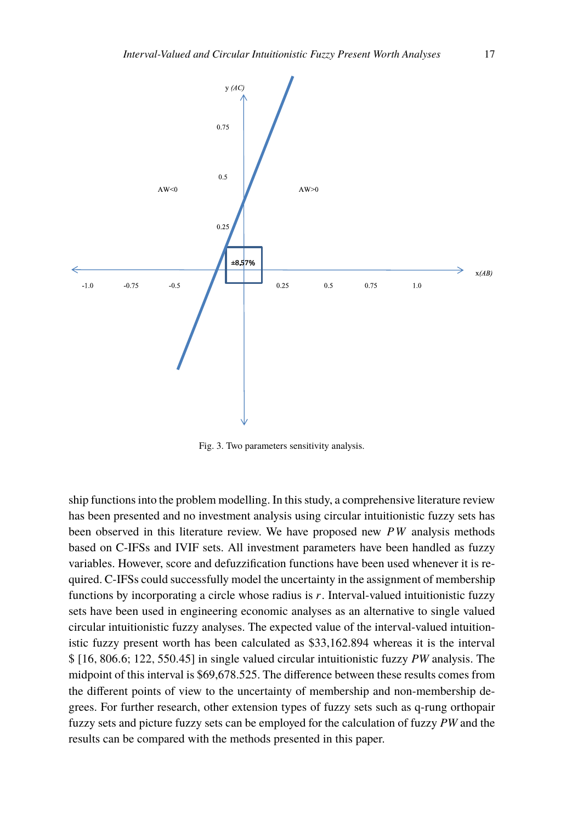<span id="page-16-0"></span>

Fig. 3. Two parameters sensitivity analysis.

ship functions into the problem modelling. In this study, a comprehensive literature review has been presented and no investment analysis using circular intuitionistic fuzzy sets has been observed in this literature review. We have proposed new *PW* analysis methods based on C-IFSs and IVIF sets. All investment parameters have been handled as fuzzy variables. However, score and defuzzification functions have been used whenever it is required. C-IFSs could successfully model the uncertainty in the assignment of membership functions by incorporating a circle whose radius is *r*. Interval-valued intuitionistic fuzzy sets have been used in engineering economic analyses as an alternative to single valued circular intuitionistic fuzzy analyses. The expected value of the interval-valued intuitionistic fuzzy present worth has been calculated as \$33,162.894 whereas it is the interval \$ [16*,* 806*.*6; 122*,* 550*.*45] in single valued circular intuitionistic fuzzy *PW* analysis. The midpoint of this interval is \$69,678.525. The difference between these results comes from the different points of view to the uncertainty of membership and non-membership degrees. For further research, other extension types of fuzzy sets such as q-rung orthopair fuzzy sets and picture fuzzy sets can be employed for the calculation of fuzzy *PW* and the results can be compared with the methods presented in this paper.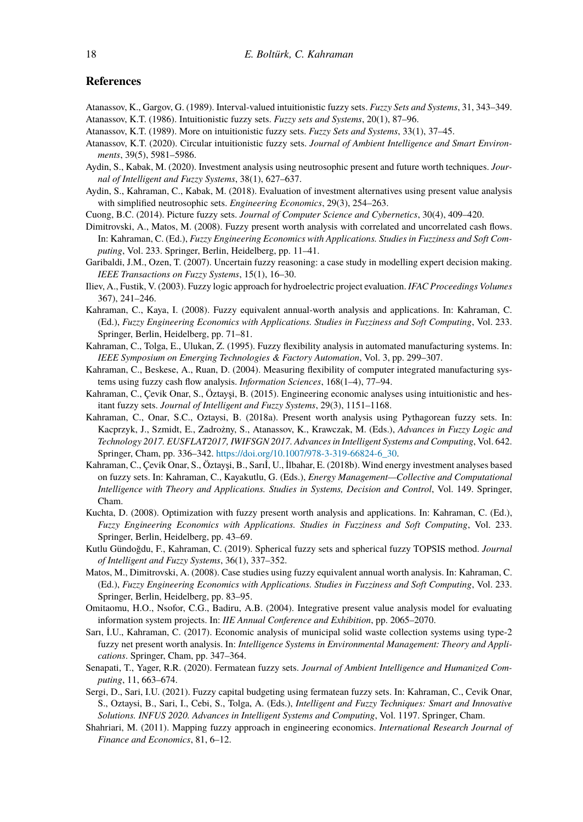#### **References**

- <span id="page-17-23"></span><span id="page-17-0"></span>Atanassov, K., Gargov, G. (1989). Interval-valued intuitionistic fuzzy sets. *Fuzzy Sets and Systems*, 31, 343–349. Atanassov, K.T. (1986). Intuitionistic fuzzy sets. *Fuzzy sets and Systems*, 20(1), 87–96.
- <span id="page-17-1"></span>Atanassov, K.T. (1989). More on intuitionistic fuzzy sets. *Fuzzy Sets and Systems*, 33(1), 37–45.
- <span id="page-17-6"></span>Atanassov, K.T. (2020). Circular intuitionistic fuzzy sets. *Journal of Ambient Intelligence and Smart Environments*, 39(5), 5981–5986.
- <span id="page-17-21"></span>Aydin, S., Kabak, M. (2020). Investment analysis using neutrosophic present and future worth techniques. *Journal of Intelligent and Fuzzy Systems*, 38(1), 627–637.
- <span id="page-17-19"></span>Aydin, S., Kahraman, C., Kabak, M. (2018). Evaluation of investment alternatives using present value analysis with simplified neutrosophic sets. *Engineering Economics*, 29(3), 254–263.
- <span id="page-17-3"></span>Cuong, B.C. (2014). Picture fuzzy sets. *Journal of Computer Science and Cybernetics*, 30(4), 409–420.
- <span id="page-17-14"></span>Dimitrovski, A., Matos, M. (2008). Fuzzy present worth analysis with correlated and uncorrelated cash flows. In: Kahraman, C. (Ed.), *Fuzzy Engineering Economics with Applications. Studies in Fuzziness and Soft Computing*, Vol. 233. Springer, Berlin, Heidelberg, pp. 11–41.
- <span id="page-17-2"></span>Garibaldi, J.M., Ozen, T. (2007). Uncertain fuzzy reasoning: a case study in modelling expert decision making. *IEEE Transactions on Fuzzy Systems*, 15(1), 16–30.
- <span id="page-17-8"></span>Iliev, A., Fustik, V. (2003). Fuzzy logic approach for hydroelectric project evaluation. *IFAC Proceedings Volumes* 367), 241–246.
- <span id="page-17-11"></span>Kahraman, C., Kaya, I. (2008). Fuzzy equivalent annual-worth analysis and applications. In: Kahraman, C. (Ed.), *Fuzzy Engineering Economics with Applications. Studies in Fuzziness and Soft Computing*, Vol. 233. Springer, Berlin, Heidelberg, pp. 71–81.
- <span id="page-17-7"></span>Kahraman, C., Tolga, E., Ulukan, Z. (1995). Fuzzy flexibility analysis in automated manufacturing systems. In: *IEEE Symposium on Emerging Technologies & Factory Automation*, Vol. 3, pp. 299–307.
- <span id="page-17-10"></span>Kahraman, C., Beskese, A., Ruan, D. (2004). Measuring flexibility of computer integrated manufacturing systems using fuzzy cash flow analysis. *Information Sciences*, 168(1–4), 77–94.
- <span id="page-17-16"></span>Kahraman, C., Çevik Onar, S., Öztayşi, B. (2015). Engineering economic analyses using intuitionistic and hesitant fuzzy sets. *Journal of Intelligent and Fuzzy Systems*, 29(3), 1151–1168.
- <span id="page-17-17"></span>Kahraman, C., Onar, S.C., Oztaysi, B. (2018a). Present worth analysis using Pythagorean fuzzy sets. In: Kacprzyk, J., Szmidt, E., Zadrożny, S., Atanassov, K., Krawczak, M. (Eds.), *Advances in Fuzzy Logic and Technology 2017. EUSFLAT2017, IWIFSGN 2017. Advances in Intelligent Systems and Computing*, Vol. 642. Springer, Cham, pp. 336–342. [https://doi.org/10.1007/978-3-319-66824-6\\_30](https://doi.org/10.1007/978-3-319-66824-6_30).
- <span id="page-17-20"></span>Kahraman, C., Çevik Onar, S., Öztayşi, B., Sarıİ, U., İlbahar, E. (2018b). Wind energy investment analyses based on fuzzy sets. In: Kahraman, C., Kayakutlu, G. (Eds.), *Energy Management—Collective and Computational Intelligence with Theory and Applications. Studies in Systems, Decision and Control*, Vol. 149. Springer, Cham.
- <span id="page-17-13"></span>Kuchta, D. (2008). Optimization with fuzzy present worth analysis and applications. In: Kahraman, C. (Ed.), *Fuzzy Engineering Economics with Applications. Studies in Fuzziness and Soft Computing*, Vol. 233. Springer, Berlin, Heidelberg, pp. 43–69.
- <span id="page-17-5"></span>Kutlu Gündoğdu, F., Kahraman, C. (2019). Spherical fuzzy sets and spherical fuzzy TOPSIS method. *Journal of Intelligent and Fuzzy Systems*, 36(1), 337–352.
- <span id="page-17-12"></span>Matos, M., Dimitrovski, A. (2008). Case studies using fuzzy equivalent annual worth analysis. In: Kahraman, C. (Ed.), *Fuzzy Engineering Economics with Applications. Studies in Fuzziness and Soft Computing*, Vol. 233. Springer, Berlin, Heidelberg, pp. 83–95.
- <span id="page-17-9"></span>Omitaomu, H.O., Nsofor, C.G., Badiru, A.B. (2004). Integrative present value analysis model for evaluating information system projects. In: *IIE Annual Conference and Exhibition*, pp. 2065–2070.
- <span id="page-17-18"></span>Sarı, İ.U., Kahraman, C. (2017). Economic analysis of municipal solid waste collection systems using type-2 fuzzy net present worth analysis. In: *Intelligence Systems in Environmental Management: Theory and Applications*. Springer, Cham, pp. 347–364.
- <span id="page-17-4"></span>Senapati, T., Yager, R.R. (2020). Fermatean fuzzy sets. *Journal of Ambient Intelligence and Humanized Computing*, 11, 663–674.
- <span id="page-17-22"></span>Sergi, D., Sari, I.U. (2021). Fuzzy capital budgeting using fermatean fuzzy sets. In: Kahraman, C., Cevik Onar, S., Oztaysi, B., Sari, I., Cebi, S., Tolga, A. (Eds.), *Intelligent and Fuzzy Techniques: Smart and Innovative Solutions. INFUS 2020. Advances in Intelligent Systems and Computing*, Vol. 1197. Springer, Cham.
- <span id="page-17-15"></span>Shahriari, M. (2011). Mapping fuzzy approach in engineering economics. *International Research Journal of Finance and Economics*, 81, 6–12.